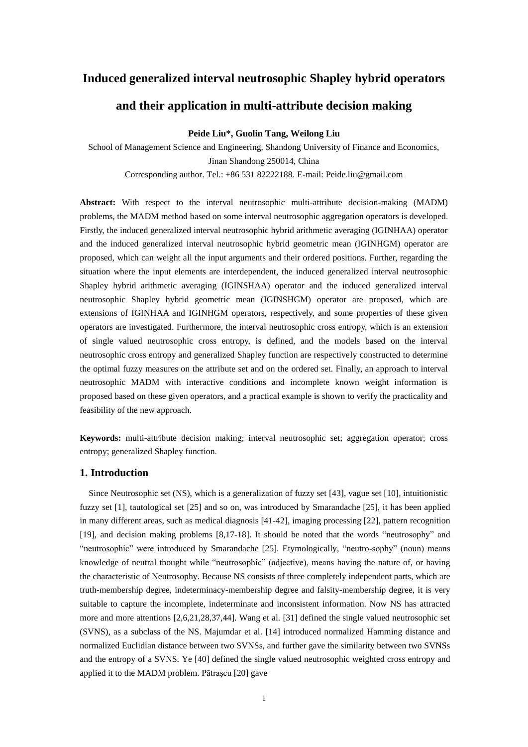# **Induced generalized interval neutrosophic Shapley hybrid operators**

# **and their application in multi-attribute decision making**

**Peide Liu\*, Guolin Tang, Weilong Liu**

School of Management Science and Engineering, Shandong University of Finance and Economics, Jinan Shandong 250014, China Corresponding author. Tel.: +86 531 82222188. E-mail: [Peide.liu@gmail.com](mailto:Peide.liu@gmail.com)

**Abstract:** With respect to the interval neutrosophic multi-attribute decision-making (MADM) problems, the MADM method based on some interval neutrosophic aggregation operators is developed. Firstly, the induced generalized interval neutrosophic hybrid arithmetic averaging (IGINHAA) operator and the induced generalized interval neutrosophic hybrid geometric mean (IGINHGM) operator are proposed, which can weight all the input arguments and their ordered positions. Further, regarding the situation where the input elements are interdependent, the induced generalized interval neutrosophic Shapley hybrid arithmetic averaging (IGINSHAA) operator and the induced generalized interval neutrosophic Shapley hybrid geometric mean (IGINSHGM) operator are proposed, which are extensions of IGINHAA and IGINHGM operators, respectively, and some properties of these given operators are investigated. Furthermore, the interval neutrosophic cross entropy, which is an extension of single valued neutrosophic cross entropy, is defined, and the models based on the interval neutrosophic cross entropy and generalized Shapley function are respectively constructed to determine the optimal fuzzy measures on the attribute set and on the ordered set. Finally, an approach to interval neutrosophic MADM with interactive conditions and incomplete known weight information is proposed based on these given operators, and a practical example is shown to verify the practicality and feasibility of the new approach.

**Keywords:** multi-attribute decision making; interval neutrosophic set; aggregation operator; cross entropy; generalized Shapley function.

# **1. Introduction**

Since Neutrosophic set (NS), which is a generalization of fuzzy set [43], vague set [10], intuitionistic fuzzy set [1], tautological set [25] and so on, was introduced by Smarandache [25], it has been applied in many different areas, such as medical diagnosis [41-42], imaging processing [22], pattern recognition [19], and decision making problems [8,17-18]. It should be noted that the words "neutrosophy" and "neutrosophic" were introduced by Smarandache [25]. Etymologically, "neutro-sophy" (noun) means knowledge of neutral thought while "neutrosophic" (adjective), means having the nature of, or having the characteristic of Neutrosophy. Because NS consists of three completely independent parts, which are truth-membership degree, indeterminacy-membership degree and falsity-membership degree, it is very suitable to capture the incomplete, indeterminate and inconsistent information. Now NS has attracted more and more attentions [2,6,21,28,37,44]. Wang et al. [31] defined the single valued neutrosophic set (SVNS), as a subclass of the NS. Majumdar et al. [14] introduced normalized Hamming distance and normalized Euclidian distance between two SVNSs, and further gave the similarity between two SVNSs and the entropy of a SVNS. Ye [40] defined the single valued neutrosophic weighted cross entropy and applied it to the MADM problem. Pătraşcu [20] gave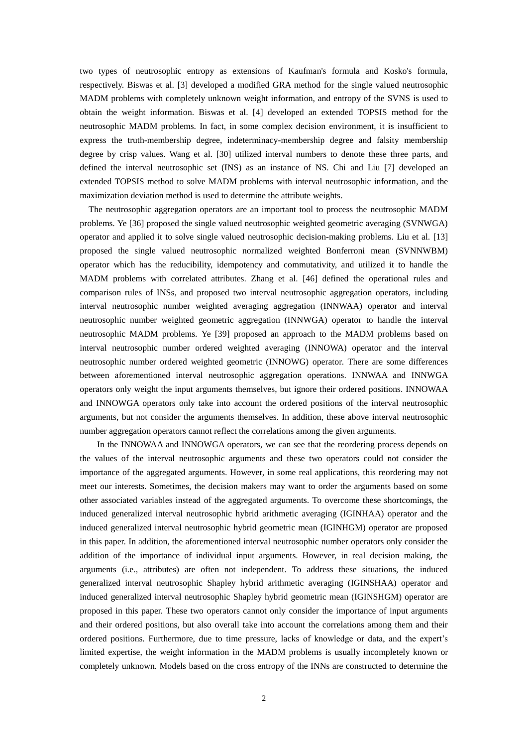two types of neutrosophic entropy as extensions of Kaufman's formula and Kosko's formula, respectively. Biswas et al. [3] developed a modified GRA method for the single valued neutrosophic MADM problems with completely unknown weight information, and entropy of the SVNS is used to obtain the weight information. Biswas et al. [4] developed an extended TOPSIS method for the neutrosophic MADM problems. In fact, in some complex decision environment, it is insufficient to express the truth-membership degree, indeterminacy-membership degree and falsity membership degree by crisp values. Wang et al. [30] utilized interval numbers to denote these three parts, and defined the interval neutrosophic set (INS) as an instance of NS. Chi and Liu [7] developed an extended TOPSIS method to solve MADM problems with interval neutrosophic information, and the maximization deviation method is used to determine the attribute weights.

 The neutrosophic aggregation operators are an important tool to process the neutrosophic MADM problems. Ye [36] proposed the single valued neutrosophic weighted geometric averaging (SVNWGA) operator and applied it to solve single valued neutrosophic decision-making problems. Liu et al. [13] proposed the single valued neutrosophic normalized weighted Bonferroni mean (SVNNWBM) operator which has the reducibility, idempotency and commutativity, and utilized it to handle the MADM problems with correlated attributes. Zhang et al. [46] defined the operational rules and comparison rules of INSs, and proposed two interval neutrosophic aggregation operators, including interval neutrosophic number weighted averaging aggregation (INNWAA) operator and interval neutrosophic number weighted geometric aggregation (INNWGA) operator to handle the interval neutrosophic MADM problems. Ye [39] proposed an approach to the MADM problems based on interval neutrosophic number ordered weighted averaging (INNOWA) operator and the interval neutrosophic number ordered weighted geometric (INNOWG) operator. There are some differences between aforementioned interval neutrosophic aggregation operations. INNWAA and INNWGA operators only weight the input arguments themselves, but ignore their ordered positions. INNOWAA and INNOWGA operators only take into account the ordered positions of the interval neutrosophic arguments, but not consider the arguments themselves. In addition, these above interval neutrosophic number aggregation operators cannot reflect the correlations among the given arguments.

In the INNOWAA and INNOWGA operators, we can see that the reordering process depends on the values of the interval neutrosophic arguments and these two operators could not consider the importance of the aggregated arguments. However, in some real applications, this reordering may not meet our interests. Sometimes, the decision makers may want to order the arguments based on some other associated variables instead of the aggregated arguments. To overcome these shortcomings, the induced generalized interval neutrosophic hybrid arithmetic averaging (IGINHAA) operator and the induced generalized interval neutrosophic hybrid geometric mean (IGINHGM) operator are proposed in this paper. In addition, the aforementioned interval neutrosophic number operators only consider the addition of the importance of individual input arguments. However, in real decision making, the arguments (i.e., attributes) are often not independent. To address these situations, the induced generalized interval neutrosophic Shapley hybrid arithmetic averaging (IGINSHAA) operator and induced generalized interval neutrosophic Shapley hybrid geometric mean (IGINSHGM) operator are proposed in this paper. These two operators cannot only consider the importance of input arguments and their ordered positions, but also overall take into account the correlations among them and their ordered positions. Furthermore, due to time pressure, lacks of knowledge or data, and the expert's limited expertise, the weight information in the MADM problems is usually incompletely known or completely unknown. Models based on the cross entropy of the INNs are constructed to determine the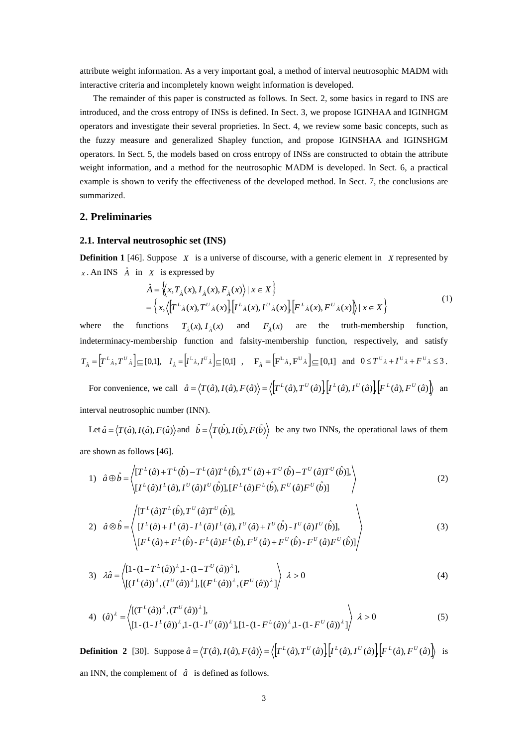attribute weight information. As a very important goal, a method of interval neutrosophic MADM with interactive criteria and incompletely known weight information is developed.

 The remainder of this paper is constructed as follows. In Sect. 2, some basics in regard to INS are introduced, and the cross entropy of INSs is defined. In Sect. 3, we propose IGINHAA and IGINHGM operators and investigate their several proprieties. In Sect. 4, we review some basic concepts, such as the fuzzy measure and generalized Shapley function, and propose IGINSHAA and IGINSHGM operators. In Sect. 5, the models based on cross entropy of INSs are constructed to obtain the attribute weight information, and a method for the neutrosophic MADM is developed. In Sect. 6, a practical example is shown to verify the effectiveness of the developed method. In Sect. 7, the conclusions are summarized.

### **2. Preliminaries**

### **2.1. Interval neutrosophic set (INS)**

**Definition 1** [46]. Suppose  $X$  is a universe of discourse, with a generic element in  $X$  represented by *x*. An INS  $\hat{A}$  in *X* is expressed by

X is expressed by  
\n
$$
\hat{A} = \left\langle x, T_{\hat{A}}(x), I_{\hat{A}}(x), F_{\hat{A}}(x) \right\rangle | x \in X \right\}
$$
\n
$$
= \left\{ x, \left\langle \left[ T^{L_{\hat{A}}}(x), T^{U_{\hat{A}}}(x) \right] \left[ I^{L_{\hat{A}}}(x), I^{U_{\hat{A}}}(x) \right] \right| \left[ F^{L_{\hat{A}}}(x), F^{U_{\hat{A}}}(x) \right] \right\} | x \in X \right\}
$$
\n(1)

where the functions  $T_{\hat{A}}(x)$ ,  $I_{\hat{A}}(x)$  and  $F_{\hat{A}}(x)$  are the truth-membership function, indeterminacy-membership function and falsity-membership function, respectively, and satisfy  $\hat{A} = \left[ T^L \hat{A}, T^U \hat{A} \right] \subseteq [0,1],$  $T_{\hat{A}} = \left[T^L \hat{A}, T^U \hat{A}\right] \subseteq [0,1], \quad I_{\hat{A}} = \left[I^L \hat{A}, I^U \hat{A}\right] \subseteq [0,1] \quad , \quad \mathbf{F}_{\hat{A}} = \left[F^L \hat{A}, F^U \hat{A}\right] \subseteq [0,1] \quad \text{and} \quad 0 \le T^U \hat{A} + I^U \hat{A} + F^U \hat{A} \le 3.$ function and falsity-membership function, respectively, and satis<br>  $[I^L{}_{\hat{A}}, I^U{}_{\hat{A}}] \subseteq [0,1]$ ,  $F_{\hat{A}} = [F^L{}_{\hat{A}}, F^U{}_{\hat{A}}] \subseteq [0,1]$  and  $0 \le T^U{}_{\hat{A}} + I^U{}_{\hat{A}} + F^U{}_{\hat{A}} \le$ <br>  $\hat{a} = \langle T(\hat{a}), I(\hat{a}), F(\hat{a}) \rangle = \langle [T^L(\$ 

 For convenience, we call  $\langle T(\hat{a}), I(\hat{a}), F(\hat{a}) \rangle = \langle T^L(\hat{a}), T^U(\hat{a}) \rangle \langle I^L(\hat{a}), I^U(\hat{a}) \rangle \langle F^L(\hat{a}), F^U(\hat{a}) \rangle$  and interval neutrosophic number (INN).

Let  $\hat{a} = \langle T(\hat{a}), I(\hat{a}), F(\hat{a}) \rangle$  and  $\hat{b} = \langle T(\hat{b}), I(\hat{b}), F(\hat{b}) \rangle$  be any two INNs, the operational laws of them are shown as follows [46].

ˆ

1) 
$$
\hat{a} \oplus \hat{b} = \left\langle \begin{matrix} [T^{L}(\hat{a}) + T^{L}(\hat{b}) - T^{L}(\hat{a})T^{L}(\hat{b}), T^{U}(\hat{a}) + T^{U}(\hat{b}) - T^{U}(\hat{a})T^{U}(\hat{b})], \\ [I^{L}(\hat{a})I^{L}(\hat{a}), I^{U}(\hat{a})I^{U}(\hat{b})], [F^{L}(\hat{a})F^{L}(\hat{b}), F^{U}(\hat{a})F^{U}(\hat{b})] \end{matrix} \right\rangle
$$
(2)

2) 
$$
\hat{a} \otimes \hat{b} = \left\langle \begin{aligned} [T^{L}(\hat{a})T^{L}(\hat{b}), T^{U}(\hat{a})T^{U}(\hat{b})], \\ [I^{L}(\hat{a}) + I^{L}(\hat{a}) - I^{L}(\hat{a})I^{L}(\hat{a}), I^{U}(\hat{a}) + I^{U}(\hat{b}) - I^{U}(\hat{a})I^{U}(\hat{b})], \\ [F^{L}(\hat{a}) + F^{L}(\hat{b}) - F^{L}(\hat{a})F^{L}(\hat{b}), F^{U}(\hat{a}) + F^{U}(\hat{b}) - F^{U}(\hat{a})F^{U}(\hat{b})] \end{aligned} \right\rangle
$$
(3)

3) 
$$
\lambda \hat{a} = \left\langle \begin{matrix} [1-(1-T^{L}(\hat{a}))^{\lambda}, 1-(1-T^{U}(\hat{a}))^{\lambda} \end{matrix} \right\rangle, \quad \left\langle \begin{matrix} [1-(1-T^{L}(\hat{a}))^{\lambda}, (I^{U}(\hat{a}))^{\lambda}, (I^{U}(\hat{a}))^{\lambda}, (I^{U}(\hat{a}))^{\lambda} \end{matrix} \right\rangle, \quad \lambda > 0
$$
 (4)

4) 
$$
(\hat{a})^{\lambda} = \left\langle \begin{bmatrix} (T^{L}(\hat{a}))^{\lambda}, (T^{U}(\hat{a}))^{\lambda} \end{bmatrix}, \begin{bmatrix} (T^{L}(\hat{a}))^{\lambda}, (T^{U}(\hat{a}))^{\lambda} \end{bmatrix}, [1 - (1 - F^{L}(\hat{a}))^{\lambda}, 1 - (1 - F^{U}(\hat{a}))^{\lambda}, 1 - (1 - F^{U}(\hat{a}))^{\lambda}] \end{bmatrix} \right\rangle \lambda > 0
$$
 (5)  
\n**Definition 2** [30]. Suppose  $\hat{a} = \langle T(\hat{a}), I(\hat{a}), F(\hat{a}) \rangle = \langle \left[ T^{L}(\hat{a}), T^{U}(\hat{a}) \right] \left[ I^{L}(\hat{a}), I^{U}(\hat{a}) \right] \left[ F^{L}(\hat{a}), F^{U}(\hat{a}) \right] \rangle$  is

**Definition 2** [30]. Suppose  $= \langle T(\hat{a}), I(\hat{a}), F(\hat{a}) \rangle = \langle T^L(\hat{a}), T^U(\hat{a}) \rangle | I^L(\hat{a}), I^U(\hat{a}) \rangle | F^L(\hat{a}), F^U(\hat{a}) \rangle$  is an INN, the complement of  $\hat{a}$  is defined as follows.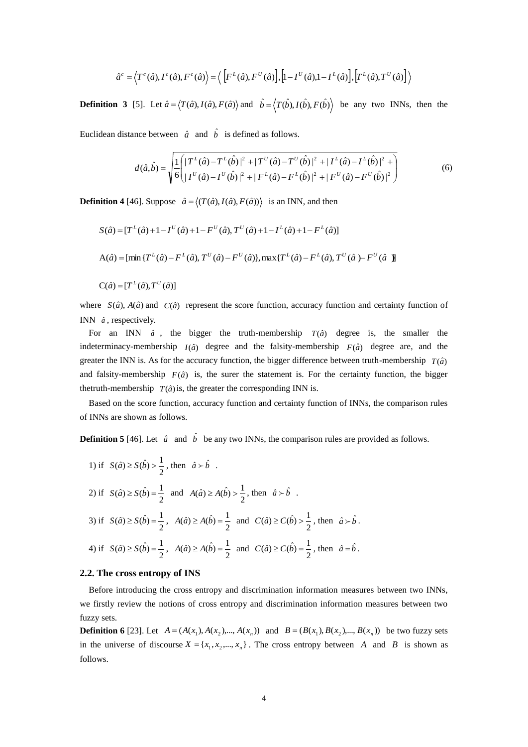$$
\hat{a}^c = \langle T^c(\hat{a}), I^c(\hat{a}), F^c(\hat{a}) \rangle = \langle \left[ F^L(\hat{a}), F^U(\hat{a}) \right], \left[ 1 - I^U(\hat{a}), 1 - I^L(\hat{a}) \right], \left[ T^L(\hat{a}), T^U(\hat{a}) \right] \rangle
$$

**Definition 3** [5]. Let  $\hat{a} = \langle T(\hat{a}), I(\hat{a}), F(\hat{a}) \rangle$  and  $\hat{b} = \langle T(\hat{b}), I(\hat{b}), F(\hat{b}) \rangle$  be any two INNs, then the

Euclidean distance between  $\hat{a}$  and  $\hat{b}$  is defined as follows.

$$
d(\hat{a}, \hat{b}) = \sqrt{\frac{1}{6} \left( |T^{L}(\hat{a}) - T^{L}(\hat{b})|^{2} + |T^{U}(\hat{a}) - T^{U}(\hat{b})|^{2} + |I^{L}(\hat{a}) - I^{L}(\hat{b})|^{2} + \right)}
$$
  
\n
$$
d(\hat{a}, \hat{b}) = \sqrt{\frac{1}{6} \left( |I^{U}(\hat{a}) - I^{U}(\hat{b})|^{2} + |F^{L}(\hat{a}) - F^{L}(\hat{b})|^{2} + |F^{U}(\hat{a}) - F^{U}(\hat{b})|^{2} \right)}
$$
\n(6)

**Definition 4** [46]. Suppose  $\hat{a} = \langle (T(\hat{a}), I(\hat{a}), F(\hat{a})) \rangle$  is an INN, and then

$$
S(\hat{a}) = [T^{L}(\hat{a}) + 1 - I^{U}(\hat{a}) + 1 - F^{U}(\hat{a}), T^{U}(\hat{a}) + 1 - I^{L}(\hat{a}) + 1 - F^{L}(\hat{a})]
$$
  
\n
$$
A(\hat{a}) = [\min \{T^{L}(\hat{a}) - F^{L}(\hat{a}), T^{U}(\hat{a}) - F^{U}(\hat{a})\}, \max \{T^{L}(\hat{a}) - F^{L}(\hat{a}), T^{U}(\hat{a}) - F^{U}(\hat{a})\}]
$$
  
\n
$$
C(\hat{a}) = [T^{L}(\hat{a}), T^{U}(\hat{a})]
$$

where  $S(\hat{a})$ ,  $A(\hat{a})$  and  $C(\hat{a})$  represent the score function, accuracy function and certainty function of INN  $\hat{a}$ , respectively.

For an INN  $\hat{a}$ , the bigger the truth-membership  $T(\hat{a})$  degree is, the smaller the indeterminacy-membership  $I(\hat{a})$  degree and the falsity-membership  $F(\hat{a})$  degree are, and the greater the INN is. As for the accuracy function, the bigger difference between truth-membership  $T(\hat{a})$ and falsity-membership  $F(\hat{a})$  is, the surer the statement is. For the certainty function, the bigger thetruth-membership  $T(\hat{a})$  is, the greater the corresponding INN is.

 Based on the score function, accuracy function and certainty function of INNs, the comparison rules of INNs are shown as follows.

**Definition 5** [46]. Let  $\hat{a}$  and  $\hat{b}$  be any two INNs, the comparison rules are provided as follows.

1) if 
$$
S(\hat{a}) \ge S(\hat{b}) > \frac{1}{2}
$$
, then  $\hat{a} > \hat{b}$ .  
\n2) if  $S(\hat{a}) \ge S(\hat{b}) = \frac{1}{2}$  and  $A(\hat{a}) \ge A(\hat{b}) > \frac{1}{2}$ , then  $\hat{a} > \hat{b}$ .  
\n3) if  $S(\hat{a}) \ge S(\hat{b}) = \frac{1}{2}$ ,  $A(\hat{a}) \ge A(\hat{b}) = \frac{1}{2}$  and  $C(\hat{a}) \ge C(\hat{b}) > \frac{1}{2}$ , then  $\hat{a} > \hat{b}$ .  
\n4) if  $S(\hat{a}) \ge S(\hat{b}) = \frac{1}{2}$ ,  $A(\hat{a}) \ge A(\hat{b}) = \frac{1}{2}$  and  $C(\hat{a}) \ge C(\hat{b}) = \frac{1}{2}$ , then  $\hat{a} = \hat{b}$ .

#### **2.2. The cross entropy of INS**

Before introducing the cross entropy and discrimination information measures between two INNs, we firstly review the notions of cross entropy and discrimination information measures between two fuzzy sets.

**Definition 6** [23]. Let  $A = (A(x_1), A(x_2),..., A(x_n))$  and  $B = (B(x_1), B(x_2),..., B(x_n))$  be two fuzzy sets in the universe of discourse  $X = \{x_1, x_2, ..., x_n\}$ . The cross entropy between A and B is shown as follows.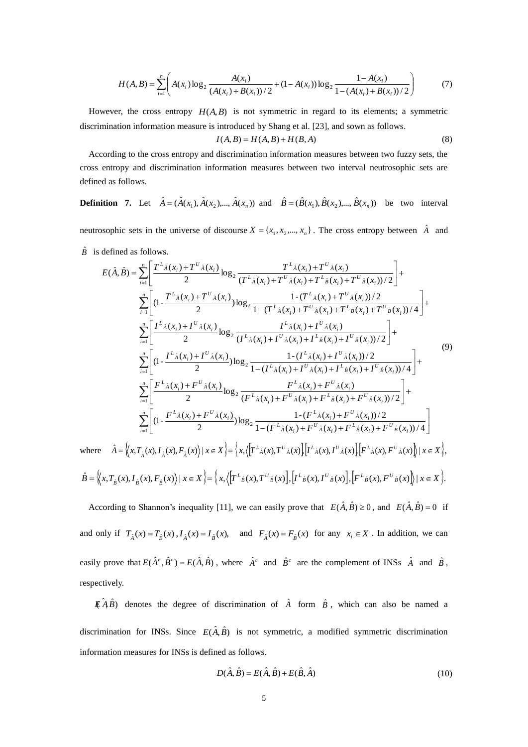$$
H(A,B) = \sum_{i=1}^{n} \left( A(x_i) \log_2 \frac{A(x_i)}{(A(x_i) + B(x_i))/2} + (1 - A(x_i)) \log_2 \frac{1 - A(x_i)}{1 - (A(x_i) + B(x_i))/2} \right)
$$
(7)

However, the cross entropy  $H(A, B)$  is not symmetric in regard to its elements; a symmetric discrimination information measure is introduced by Shang et al. [23], and sown as follows.

$$
I(A,B) = H(A,B) + H(B,A)
$$
\n<sup>(8)</sup>

 According to the cross entropy and discrimination information measures between two fuzzy sets, the cross entropy and discrimination information measures between two interval neutrosophic sets are defined as follows.

**Definition** 7. Let  $\hat{A} = (\hat{A}(x_1), \hat{A}(x_2), \dots, \hat{A}(x_n))$  and  $\hat{B} = (\hat{B}(x_1), \hat{B}(x_2), \dots, \hat{B}(x_n))$  be two interval

neutrosophic sets in the universe of discourse  $X = \{x_1, x_2, ..., x_n\}$ . The cross entropy between  $\hat{A}$  and

 $\hat{B}$  is defined as follows.

$$
E(\hat{A}, \hat{B}) = \sum_{i=1}^{n} \left[ \frac{T^{L_{\hat{A}}}(x_{i}) + T^{U_{\hat{A}}}(x_{i})}{2} \log_{2} \frac{T^{L_{\hat{A}}}(x_{i}) + T^{U_{\hat{A}}}(x_{i}) + T^{U_{\hat{A}}}(x_{i})}{(T^{L_{\hat{A}}}(x_{i}) + T^{U_{\hat{A}}}(x_{i}) + T^{U_{\hat{B}}}(x_{i})) / 2} \right] + \sum_{i=1}^{n} \left[ (1 - \frac{T^{L_{\hat{A}}}(x_{i}) + T^{U_{\hat{A}}}(x_{i})}{2} \log_{2} \frac{1 - (T^{L_{\hat{A}}}(x_{i}) + T^{U_{\hat{A}}}(x_{i})) / 2}{1 - (T^{L_{\hat{A}}}(x_{i}) + T^{U_{\hat{A}}}(x_{i}) + T^{U_{\hat{B}}}(x_{i})) / 4} \right] + \sum_{i=1}^{n} \left[ \frac{I^{L_{\hat{A}}}(x_{i}) + I^{U_{\hat{A}}}(x_{i})}{2} \log_{2} \frac{I^{L_{\hat{A}}}(x_{i}) + I^{U_{\hat{A}}}(x_{i}) + I^{U_{\hat{A}}}(x_{i}) + T^{U_{\hat{B}}}(x_{i}) + T^{U_{\hat{B}}}(x_{i}) / 2}{(I^{L_{\hat{A}}}(x_{i}) + I^{U_{\hat{A}}}(x_{i}) + I^{U_{\hat{A}}}(x_{i}) + I^{U_{\hat{B}}}(x_{i})) / 2} \right] + \sum_{i=1}^{n} \left[ (1 - \frac{I^{L_{\hat{A}}}(x_{i}) + I^{U_{\hat{A}}}(x_{i})}{2} \log_{2} \frac{1 - (I^{L_{\hat{A}}}(x_{i}) + T^{U_{\hat{A}}}(x_{i}) + T^{U_{\hat{B}}}(x_{i})) / 2}{(I^{L_{\hat{A}}}(x_{i}) + F^{U_{\hat{A}}}(x_{i}) + F^{U_{\hat{B}}}(x_{i})) / 4} \right] + \sum_{i=1}^{n} \left[ \frac{F^{L_{\hat{A}}}(x_{i}) + F^{U_{\hat{A}}}(x_{i})}{2} \log_{2} \frac{F^{L_{\hat{A}}}(x_{i}) + F^{U_{\hat{A}}}(
$$

$$
\hat{B} = \left\langle x, T_{\hat{\beta}}(x), I_{\hat{\beta}}(x), F_{\hat{\beta}}(x) \right\rangle | x \in X \right\rbrace = \left\{ x, \left\langle \left[ T^L_{\hat{\beta}}(x), T^U_{\hat{\beta}}(x) \right], \left[ I^L_{\hat{\beta}}(x), I^U_{\hat{\beta}}(x) \right], \left[ F^L_{\hat{\beta}}(x), F^U_{\hat{\beta}}(x) \right] \right\rangle | x \in X \right\}.
$$

According to Shannon's inequality [11], we can easily prove that  $E(\hat{A}, \hat{B}) \ge 0$ , and  $E(\hat{A}, \hat{B}) = 0$  if and only if  $T_{\hat{A}}(x) = T_{\hat{B}}(x)$ ,  $I_{\hat{A}}(x) = I_{\hat{B}}(x)$ , and  $F_{\hat{A}}(x) = F_{\hat{B}}(x)$  for any  $x_i \in X$ . In addition, we can easily prove that  $E(\hat{A}^c, \hat{B}^c) = E(\hat{A}, \hat{B})$ , where  $\hat{A}^c$  and  $\hat{B}^c$  are the complement of INSs  $\hat{A}$  and  $\hat{B}$ , respectively.

 $\mathbb{E}(\hat{A}\hat{B})$  denotes the degree of discrimination of  $\hat{A}$  form  $\hat{B}$ , which can also be named a discrimination for INSs. Since  $E(\hat{A}, \hat{B})$  is not symmetric, a modified symmetric discrimination information measures for INSs is defined as follows.

$$
D(\hat{A}, \hat{B}) = E(\hat{A}, \hat{B}) + E(\hat{B}, \hat{A})
$$
\n(10)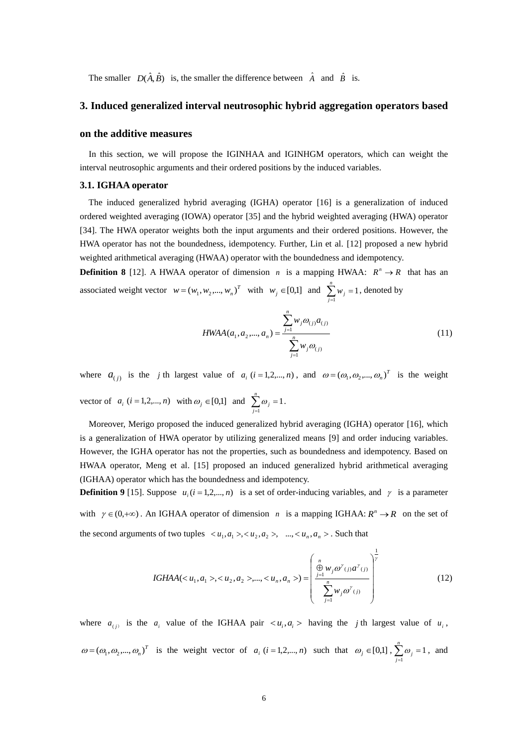The smaller  $D(\hat{A}, \hat{B})$  is, the smaller the difference between  $\hat{A}$  and  $\hat{B}$  is.

## **3. Induced generalized interval neutrosophic hybrid aggregation operators based**

### **on the additive measures**

 In this section, we will propose the IGINHAA and IGINHGM operators, which can weight the interval neutrosophic arguments and their ordered positions by the induced variables.

### **3.1. IGHAA operator**

The induced generalized hybrid averaging (IGHA) operator [16] is a generalization of induced ordered weighted averaging (IOWA) operator [35] and the hybrid weighted averaging (HWA) operator [34]. The HWA operator weights both the input arguments and their ordered positions. However, the HWA operator has not the boundedness, idempotency. Further, Lin et al. [12] proposed a new hybrid weighted arithmetical averaging (HWAA) operator with the boundedness and idempotency.

**Definition 8** [12]. A HWAA operator of dimension *n* is a mapping HWAA:  $R^n \rightarrow R$  that has an associated weight vector  $w = (w_1, w_2, ..., w_n)^T$  with  $w_j \in [0,1]$  and  $\sum w_j = 1$  $\sum_{j=1} w_j =$ *n*  $\sum_{j=1}$  *w*<sub>*j*</sub> = 1, denoted by

$$
HWAA(a_1, a_2,..., a_n) = \frac{\sum_{j=1}^{n} w_j \omega_{(j)} a_{(j)}}{\sum_{j=1}^{n} w_j \omega_{(j)}}
$$
(11)

where  $a_{(j)}$  is the *j* th largest value of  $a_i$  ( $i = 1, 2, ..., n$ ), and  $\omega = (\omega_1, \omega_2, ..., \omega_n)^T$  is the weight vector of  $a_i$  ( $i = 1,2,...,n$ ) with  $\omega_j \in [0,1]$  and  $\sum \omega_j = 1$  $\sum_{j=1} \omega_j =$ *n*  $\sum_{j=1}$   $\omega_j = 1$  . Moreover, Merigo proposed the induced generalized hybrid averaging (IGHA) operator [16], which

is a generalization of HWA operator by utilizing generalized means [9] and order inducing variables. However, the IGHA operator has not the properties, such as boundedness and idempotency. Based on HWAA operator, Meng et al. [15] proposed an induced generalized hybrid arithmetical averaging (IGHAA) operator which has the boundedness and idempotency.

**Definition 9** [15]. Suppose  $u_i$  ( $i = 1, 2, ..., n$ ) is a set of order-inducing variables, and  $\gamma$  is a parameter with  $\gamma \in (0, +\infty)$ . An IGHAA operator of dimension *n* is a mapping IGHAA:  $R^n \to R$  on the set of the second arguments of two tuples  $\langle u_1, a_1 \rangle, \langle u_2, a_2 \rangle, \dots, \langle u_n, a_n \rangle$ . Such that

IGHAA(
$$
u_1, a_1 >, , ...,
$$
) = 
$$
\left( \frac{\bigoplus_{j=1}^n w_j \omega^r_{(j)} a^r_{(j)}}{\sum_{j=1}^n w_j \omega^r_{(j)}}
$$
 (12)

where  $a_{(i)}$  is the  $a_i$  value of the IGHAA pair  $\langle u_i, a_i \rangle$  having the *j* th largest value of  $u_i$ ,  $\omega = (\omega_1, \omega_2, ..., \omega_n)^T$  is the weight vector of  $a_i$  (*i* = 1,2,..., *n*) such that  $\omega_j \in [0,1]$ ,  $\sum \omega_j = 1$  $\sum_{j=1} \omega_j =$ *n*  $\sum_{j=1}^{\infty} \omega_j = 1$ , and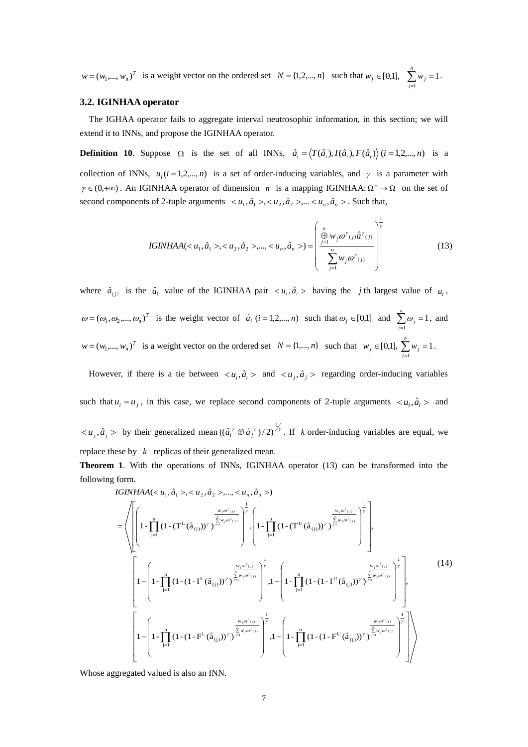$w = (w_1, ..., w_n)^T$  is a weight vector on the ordered set  $N = \{1, 2, ..., n\}$  such that  $w_j \in [0,1], \sum w_j = 1$  $\sum_{j=1} w_j =$ *n*  $\sum_{j=1}^{\infty} w_j = 1$ .

### **3.2. IGINHAA operator**

The IGHAA operator fails to aggregate interval neutrosophic information, in this section; we will extend it to INNs, and propose the IGINHAA operator.

**Definition 10.** Suppose  $\Omega$  is the set of all INNs,  $\hat{a}_i = \langle T(\hat{a}_i), I(\hat{a}_i), F(\hat{a}_i) \rangle$   $(i = 1, 2, ..., n)$  is a

collection of INNs,  $u_i$  ( $i = 1, 2, ..., n$ ) is a set of order-inducing variables, and  $\gamma$  is a parameter with  $\gamma \in (0, +\infty)$ . An IGINHAA operator of dimension *n* is a mapping IGINHAA:  $\Omega^n \to \Omega$  on the set of second components of 2-tuple arguments  $\langle u_1, \hat{a}_1 \rangle, \langle u_2, \hat{a}_2 \rangle, \dots, \langle u_n, \hat{a}_n \rangle$ . Such that,

IGINHAA(
$$
u_1, \hat{a}_1
$$
 >,  $u_2, \hat{a}_2$  >,...,  $u_n, \hat{a}_n$ >) = 
$$
\left( \frac{\bigoplus_{j=1}^n w_j \omega^{\gamma}(j) \hat{a}^{\gamma}(j)}{\sum_{j=1}^n w_j \omega^{\gamma}(j)} \right)^{\frac{1}{\gamma}}
$$
(13)

where  $\hat{a}_{(i)}$  is the  $\hat{a}_i$  value of the IGINHAA pair  $\langle u_i, \hat{a}_i \rangle$  having the *j*th largest value of  $u_i$ ,  $\omega = (\omega_1, \omega_2, ..., \omega_n)^T$  is the weight vector of  $\hat{a}_i$  (*i* = 1,2,..., *n*) such that  $\omega_j \in [0,1]$  and  $\sum \omega_j = 1$  $\sum_{j=1} \omega_j =$ *n*  $\sum_{j=1}$   $\omega_j$  = 1, and  $w = (w_1, ..., w_n)^T$  is a weight vector on the ordered set  $N = \{1, ..., n\}$  such that  $w_j \in [0,1], \sum w_j = 1$  $\sum_{j=1} w_j =$ *n*  $\sum_{j=1}$  *w*<sub>*j*</sub> = 1.

However, if there is a tie between  $\langle u_i, \hat{a}_i \rangle$  and  $\langle u_j, \hat{a}_j \rangle$  regarding order-inducing variables such that  $u_i = u_j$ , in this case, we replace second components of 2-tuple arguments  $\langle u_i, \hat{a}_i \rangle$  and  $\langle u_j, \hat{a}_j \rangle$  by their generalized mean  $((\hat{a}_i^{\gamma} \oplus \hat{a}_j^{\gamma})/2)^{\frac{1}{\gamma}}$ . If k order-inducing variables are equal, we replace these by *k* replicas of their generalized mean.

**Theorem 1**. With the operations of INNs, IGINHAA operator (13) can be transformed into the following form.

IGINHAA(
$$
u_1, \hat{a}_1
$$
 >,  $u_2, \hat{a}_2$  >,...,  $u_n, \hat{a}_n$  >)  
\n=
$$
\sqrt{\left[ \left( 1 - \prod_{j=1}^n (1 - (T^L(\hat{a}_{(j)}))^{\gamma})^{\frac{1}{\beta_1} \cdot \gamma \sigma^{\gamma}(j)} \right)^{\frac{1}{\gamma}} \right] \left( 1 - \prod_{j=1}^n (1 - (T^U(\hat{a}_{(j)}))^{\gamma})^{\frac{1}{\beta_1} \cdot \gamma \sigma^{\gamma}(j)} \right)^{\frac{1}{\gamma}} \right] \left( 1 - \prod_{j=1}^n (1 - (T^U(\hat{a}_{(j)}))^{\gamma})^{\frac{1}{\beta_1} \cdot \gamma \sigma^{\gamma}(j)} \right)^{\frac{1}{\gamma}}
$$
\n
$$
\left[ 1 - \left( 1 - \prod_{j=1}^n (1 - (1 - I^L(\hat{a}_{(j)}))^{\gamma})^{\frac{w_j \sigma^{\gamma}(j)}{\frac{1}{\beta_1} \cdot \gamma \sigma^{\gamma}(j)}} \right)^{\frac{1}{\gamma}} \right] \left( 1 - \left( 1 - \prod_{j=1}^n (1 - (1 - I^U(\hat{a}_{(j)}))^{\gamma})^{\frac{w_j \sigma^{\gamma}(j)}{\frac{1}{\beta_1} \cdot \gamma \sigma^{\gamma}(j)}} \right)^{\frac{1}{\gamma}} \right], 1 - \left( 1 - \prod_{j=1}^n (1 - (1 - I^U(\hat{a}_{(j)}))^{\gamma})^{\frac{w_j \sigma^{\gamma}(j)}{\frac{1}{\beta_1} \cdot \gamma \sigma^{\gamma}(j)}} \right)^{\frac{1}{\gamma}} \left( 1 - \left( 1 - \prod_{j=1}^n (1 - (1 - F^U(\hat{a}_{(j)}))^{\gamma})^{\frac{w_j \sigma^{\gamma}(j)}{\frac{1}{\beta_1} \cdot \gamma \sigma^{\gamma}(j)}} \right)^{\frac{1}{\gamma}} \right)
$$
\n
$$
\left[ 1 - \left( 1 - \prod_{j=1}^n (1 - (1 - F^L(\hat{a}_{(j)}))^{\gamma})^{\frac{w_j \sigma^{\gamma}(j)}{\frac{1}{\beta_1} \cdot \gamma \sigma^{\gamma}(j)}} \right)^{\frac{1}{\gamma}} \left( 1 - \prod_{j=1}^n (1
$$

Whose aggregated valued is also an INN.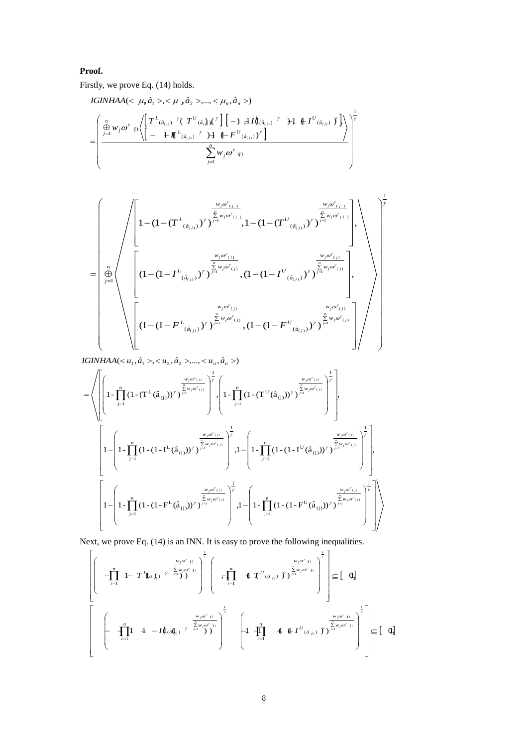# **Proof.**

Firstly, we prove Eq. (14) holds.

 11 22 ,( ˆ ,, ˆ ,..., , ˆ ) *IGINHAA aa a* 1 1 ) ( ( ˆ ) ( ˆ ) ( ˆ ) ( ˆ ) ( ˆ ) ( ˆ ) ) ( 1 )1 (1 ,)1 (1 ,)1 (1 ,)1 (1,)( ,)( )( )( )( )( )( )( *n j jj a U a L a U a L a U a L jj n j nn w F F TT I I w j j j j j j*

$$
\begin{pmatrix}\n\frac{w_j\omega'_{(j)}}{\frac{p}{2}w_j\omega'_{(j)}} \\
\frac{1}{2}\left(1-(1-(T^L_{(\hat{a}_{(j)})})^{\gamma})^{\sum_{j=1}^{\frac{w_j\omega'_{(j)}}{\frac{p}{2}w_j\omega'_{(j)}}}},1-(1-(T^U_{(\hat{a}_{(j)})})^{\gamma})^{\sum_{j=1}^{\frac{w_j\omega'_{(j)}}{\frac{p}{2}w_j\omega'_{(j)}}}}\right)\n\end{pmatrix} \\
=\n\begin{pmatrix}\n\frac{1}{2} \\
\frac{1}{2} \\
\frac{1}{2} \\
\frac{1}{2} \\
\frac{1}{2}\n\end{pmatrix}\n\begin{pmatrix}\n\frac{1}{2} \\
\frac{1}{2} \\
\frac{1}{2} \\
\frac{1}{2} \\
\frac{1}{2} \\
\frac{1}{2} \\
\frac{1}{2} \\
\frac{1}{2} \\
\frac{1}{2} \\
\frac{1}{2} \\
\frac{1}{2} \\
\frac{1}{2} \\
\frac{1}{2} \\
\frac{1}{2} \\
\frac{1}{2} \\
\frac{1}{2} \\
\frac{1}{2} \\
\frac{1}{2} \\
\frac{1}{2} \\
\frac{1}{2} \\
\frac{1}{2} \\
\frac{1}{2} \\
\frac{1}{2} \\
\frac{1}{2} \\
\frac{1}{2} \\
\frac{1}{2} \\
\frac{1}{2} \\
\frac{1}{2} \\
\frac{1}{2} \\
\frac{1}{2} \\
\frac{1}{2} \\
\frac{1}{2} \\
\frac{1}{2} \\
\frac{1}{2} \\
\frac{1}{2} \\
\frac{1}{2} \\
\frac{1}{2} \\
\frac{1}{2} \\
\frac{1}{2} \\
\frac{1}{2} \\
\frac{1}{2} \\
\frac{1}{2} \\
\frac{1}{2} \\
\frac{1}{2} \\
\frac{1}{2} \\
\frac{1}{2} \\
\frac{1}{2} \\
\frac{1}{2} \\
\frac{1}{2} \\
\frac{1}{2} \\
\frac{1}{2} \\
\frac{1}{2} \\
\frac{1}{2} \\
\frac{1}{2} \\
\frac{1}{2} \\
\frac{1}{2} \\
\frac{1}{2} \\
\frac{1}{2} \\
\frac{1}{2} \\
\frac{1}{2} \\
\frac{1}{2} \\
\frac{1}{2} \\
\frac{1}{2} \\
\frac{1}{2} \\
\frac{1}{2} \\
\frac{
$$

*IGINHAA*( $\langle u_1, \hat{a}_1 \rangle, \langle u_2, \hat{a}_2 \rangle, ..., \langle u_n, \hat{a}_n \rangle$ )

$$
= \left\langle \left[\left(1-\prod_{j=1}^{n}\left(1-(T^{L}(\hat{a}_{(j)}))^{y}\right)^{\sum\limits_{j=1}^{\frac{w}{2}w_{j}\omega^{y}(j)}}\right)^{\frac{1}{y}} ,\left(1-\prod_{j=1}^{n}\left(1-(T^{U}(\hat{a}_{(j)}))^{y}\right)^{\sum\limits_{j=1}^{\frac{w}{2}w_{j}\omega^{y}(j)}}\right)^{\frac{1}{y}} \right\rangle ,\right\}
$$
\n
$$
1-\left[1-\prod_{j=1}^{n}\left(1-(1-I^{L}(\hat{a}_{(j)}))^{y}\right)^{\sum\limits_{j=1}^{\frac{w}{2}w_{j}\omega^{y}(j)}}\right)^{\frac{1}{y}} ,1-\left[1-\prod_{j=1}^{n}\left(1-(1-I^{U}(\hat{a}_{(j)}))^{y}\right)^{\sum\limits_{j=1}^{\frac{w}{2}w_{j}\omega^{y}(j)}}\right)^{\frac{1}{y}} \right\rangle ,\right]
$$
\n
$$
\left[1-\left(1-\prod_{j=1}^{n}\left(1-(1-F^{L}(\hat{a}_{(j)}))^{y}\right)^{\sum\limits_{j=1}^{\frac{w}{2}w_{j}\omega^{y}(j)}}\right)^{\frac{1}{y}} ,1-\left(1-\prod_{j=1}^{n}\left(1-(1-F^{U}(\hat{a}_{(j)}))^{y}\right)^{\sum\limits_{j=1}^{\frac{w}{2}w_{j}\omega^{y}(j)}}\right)^{\frac{1}{y}} \right] \right\rangle ,\left[\left(1-\left(1-F^{U}(\hat{a}_{(j)}))^{y}\right)^{\sum\limits_{j=1}^{\frac{w}{2}w_{j}\omega^{y}(j)}}\right)^{\frac{1}{y}}\right]
$$

Next, we prove Eq. (14) is an INN. It is easy to prove the following inequalities.

x, we prove Eq. (14) is an INN. It is easy to prove the following inequalities.  
\n
$$
\left[\begin{array}{ccc} & & & \frac{w_j\omega^r}{r} \\ -\prod_{i=1}^n & 1 - T^t\hat{q}_{\hat{a}}(\hat{y})^{-r} \end{array} \begin{array}{c} \sum_{j=1}^{\frac{1}{r}} \left( \begin{array}{cc} & & & \frac{w_j\omega^r}{r} \\ -\prod_{i=1}^n & 1 - T^t\hat{q}_{\hat{a}}(\hat{y})^{-r} \end{array} \begin{array}{c} \sum_{j=1}^{\frac{1}{r}} \left( \begin{array}{cc} & & & \frac{w_j\omega^r}{r} \\ -\prod_{i=1}^n & 1 - T^t\hat{q}_{\hat{a}}(\hat{y})^{-r} \end{array} \begin{array}{c} \sum_{j=1}^{\frac{1}{r}} \left( \begin{array}{cc} & & & \frac{w_j\omega^r}{r} \\ -\prod_{i=1}^n & 1 - T^t\hat{q}_{\hat{a}}(\hat{y})^{-r} \end{array} \begin{array}{c} \sum_{j=1}^{\frac{1}{r}} \left( \begin{array}{cc} & & & \frac{w_j\omega^r}{r} \\ -\prod_{i=1}^n & 1 - T^t\hat{q}_{\hat{a}}(\hat{q}_{\hat{y}})^{-r} \end{array} \right)^{\frac{1}{r}} \end{array} \right] \begin{array}{c} \sum_{j=1}^{\frac{1}{r}} \left( \begin{array}{cc} & & \frac{w_j\omega^r}{r} \\ -\prod_{i=1}^n & 1 - T^t\hat{q}_{\hat{a}}(\hat{q}_{\hat{y}})^{-r} \end{array} \begin{array}{c} \sum_{j=1}^n \left( \begin{array}{cc} \sum_{j=1}^n \left( \begin{array}{c} \frac{1}{r} \\ -\frac{1}{r} \end{array} \right)^{\frac{1}{r}} \end{array} \right)^{\frac{1}{r}} \end{array} \end{array} \right] \end{array} \right] \begin{array}{c} \sum_{j=1}^{\frac{1}{r}} \left( \begin{array}{cc} \sum_{j=1}^n \left( \begin{array}{c} \sum_{j=1}^n \left( \begin{array}{c} \frac{1}{r} \\ -\frac{1}{r} \
$$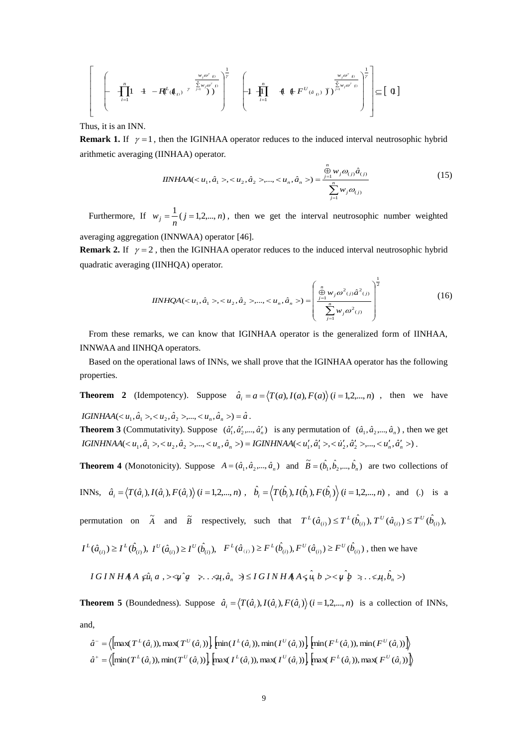$$
\left[\begin{array}{ccc} \left(-\prod_{i=1}^{n} 1 & 4 - R^{L}(\mathbf{A}_{i}) & \sum_{j=1}^{w_{j}\omega^{2}} \sum_{j=1}^{w_{j}\omega^{2}} \mathbf{1} \right)^{1} \\ \left(-\prod_{i=1}^{n} 1 & 4 - R^{L}(\mathbf{A}_{i}) & \sum_{j=1}^{w_{j}\omega^{2}} \mathbf{1} \end{array}\right)^{1} \left[\begin{array}{ccc} 1 & 4 & 4 \end{array}\right] \left[\begin{array}{ccc} \left(-\prod_{i=1}^{n} 1 & 4 & 4 \end{array}\right] \left(\begin{array}{c} \frac{w_{j}\omega^{2}}{2} & \sum_{j=1}^{w_{j}\omega^{2}} \mathbf{1} \end{array}\right)^{1} \right] \subseteq \left[\begin{array}{c} 0 \end{array}\right]
$$

Thus, it is an INN.

**Remark 1.** If  $\gamma = 1$ , then the IGINHAA operator reduces to the induced interval neutrosophic hybrid arithmetic averaging (IINHAA) operator.

$$
IINHAA(\langle u_1, \hat{a}_1 \rangle, \langle u_2, \hat{a}_2 \rangle, \dots, \langle u_n, \hat{a}_n \rangle) = \frac{\sum_{j=1}^n w_j \omega_{(j)} \hat{a}_{(j)}}{\sum_{j=1}^n w_j \omega_{(j)}}
$$
(15)

Furthermore, If  $w_j = \frac{1}{n}$  ( $j = 1, 2, ..., n$ ), then we get the interval neutrosophic number weighted averaging aggregation (INNWAA) operator [46].

**Remark 2.** If  $\gamma = 2$ , then the IGINHAA operator reduces to the induced interval neutrosophic hybrid quadratic averaging (IINHQA) operator.

$$
IINHQA(u1, \hat{a}1>, u2, \hat{a}2>, ..., un, \hat{a}n>) = \left(\frac{\bigoplus_{j=1}^{n} w_j \omega^2_{(j)} \hat{a}^2_{(j)}}{\sum_{j=1}^{n} w_j \omega^2_{(j)}}
$$
\n
$$
\tag{16}
$$

 From these remarks, we can know that IGINHAA operator is the generalized form of IINHAA, INNWAA and IINHQA operators.

 Based on the operational laws of INNs, we shall prove that the IGINHAA operator has the following properties.

**Theorem 2** (Idempotency). Suppose  $\hat{a}_i = a = \langle T(a), I(a), F(a) \rangle$   $(i = 1, 2, ..., n)$ , then we have *IGINHAA*( $\langle u_1, \hat{a}_1 \rangle, \langle u_2, \hat{a}_2 \rangle, \dots, \langle u_n, \hat{a}_n \rangle = \hat{a}$ .

**Theorem 3** (Commutativity). Suppose  $(\hat{a}'_1, \hat{a}'_2, ..., \hat{a}'_n)$  is any permutation of  $(\hat{a}_1, \hat{a}_2, ..., \hat{a}_n)$ , then we get  $IGINHNAA( $u_1, \hat{a}_1>, u_2, \hat{a}_2>,...,u_n, \hat{a}_n>) = IGINHNAA( $u'_1, \hat{a}'_1>, ..., u'_2, \hat{a}'_2>,...,u'_n, \hat{a}'_n>)$ .$$ 

**Theorem 4** (Monotonicity). Suppose  $A = (\hat{a}_1, \hat{a}_2, ..., \hat{a}_n)$  and  $\tilde{B} = (\hat{b}_1, \hat{b}_2, ..., \hat{b}_n)$  are two collections of

INNs, 
$$
\hat{a}_i = \langle T(\hat{a}_i), I(\hat{a}_i), F(\hat{a}_i) \rangle
$$
  $(i = 1, 2, ..., n)$ ,  $\hat{b}_i = \langle T(\hat{b}_i), I(\hat{b}_i), F(\hat{b}_i) \rangle$   $(i = 1, 2, ..., n)$ , and (.) is a

permutation on  $\tilde{A}$  and  $\tilde{B}$  respectively, such that  $T^L(\hat{a}_{(i)}) \leq T^L(\hat{b}_{(i)})$ ,  $T^U(\hat{a}_{(i)}) \leq T^U(\hat{b}_{(i)})$ ,

$$
I^{L}(\hat{a}_{(i)}) \geq I^{L}(\hat{b}_{(i)}), I^{U}(\hat{a}_{(i)}) \geq I^{U}(\hat{b}_{(i)}), F^{L}(\hat{a}_{(i)}) \geq F^{L}(\hat{b}_{(i)}), F^{U}(\hat{a}_{(i)}) \geq F^{U}(\hat{b}_{(i)}), \text{ then we have}
$$
  

$$
IGINHAA \, \hat{\ast} \hat{u}_{1} a \, , \, >\, \hat{\ast} \hat{\mu}_{2} \, \hat{\ast} \, \dots \, \hat{\ast} \hat{\ast} \, \hat{a}_{n} \, \Rightarrow \, \leq I \, GI \, NHAA \, \hat{\ast} \, \hat{u}_{1} b \, , \, >\, \hat{\ast} \, \hat{\mu}_{2} \, \hat{\ast} \, \dots \, \hat{\ast} \, \hat{\ast} \, \hat{b}_{n} \, >\, \hat{\ast} \, \hat{\ast} \, \hat{\ast} \, \hat{\ast} \, \hat{\ast} \, \hat{\ast} \, \hat{\ast} \, \hat{\ast} \, \hat{\ast} \, \hat{\ast} \, \hat{\ast} \, \hat{\ast} \, \hat{\ast} \, \hat{\ast} \, \hat{\ast} \, \hat{\ast} \, \hat{\ast} \, \hat{\ast} \, \hat{\ast} \, \hat{\ast} \, \hat{\ast} \, \hat{\ast} \, \hat{\ast} \, \hat{\ast} \, \hat{\ast} \, \hat{\ast} \, \hat{\ast} \, \hat{\ast} \, \hat{\ast} \, \hat{\ast} \, \hat{\ast} \, \hat{\ast} \, \hat{\ast} \, \hat{\ast} \, \hat{\ast} \, \hat{\ast} \, \hat{\ast} \, \hat{\ast} \, \hat{\ast} \, \hat{\ast} \, \hat{\ast} \, \hat{\ast} \, \hat{\ast} \, \hat{\ast} \, \hat{\ast} \, \hat{\ast} \, \hat{\ast} \, \hat{\ast} \, \hat{\ast} \, \hat{\ast} \, \hat{\ast} \, \hat{\ast} \, \hat{\ast} \, \hat{\ast} \, \hat{\ast} \, \hat{\ast} \, \hat{\ast} \, \hat{\ast} \, \hat{\ast} \, \hat{\ast} \, \hat{\ast} \, \hat{\ast} \, \hat{\ast} \, \hat{\ast} \, \hat{\ast} \, \hat{\ast} \, \hat
$$

$$
IGINHAA \nleq \hat{u}_1 a \nightharpoondown \nightharpoondown \hat{u}_2 \nightharpoondown \nightharpoondown \hat{u}_1 a_n \nightharpoondown \nightharpoondown \nightharpoondown \hat{u}_2 a_n \nightharpoondown \nightharpoondown \hat{u}_1 a_n \nightharpoondown \nightharpoondown \hat{u}_2 a_n \nightharpoondown \hat{u}_2 a_n \nightharpoondown \hat{u}_2 a_n \nightharpoondown \hat{u}_2 a_n \nightharpoondown \hat{u}_2 a_n \nightharpoondown \hat{u}_2 a_n \nightharpoondown \hat{u}_2 a_n \nightharpoondown \hat{u}_2 a_n \nightharpoondown \hat{u}_2 a_n \nightharpoondown \hat{u}_2 a_n \nightharpoondown \hat{u}_2 a_n \nightharpoondown \hat{u}_2 a_n \nightharpoondown \hat{u}_2 a_n \nightharpoondown \hat{u}_2 a_n \nightharpoondown \hat{u}_2 a_n \nightharpoondown \hat{u}_2 a_n \nightharpoondown \hat{u}_2 a_n \nightharpoondown \hat{u}_2 a_n \nightharpoondown \hat{u}_2 a_n \nightharpoondown \hat{u}_2 a_n \nightharpoondown \hat{u}_2 a_n \nightharpoondown \hat{u}_2 a_n \nightharpoondown \hat{u}_2 a_n \nightharpoondown \hat{u}_2 a_n \nightharpoondown \hat{u}_2 a_n \nightharpoondown \hat{u}_2 a_n \nightharpoondown \hat{u}_2 a_n \nightharpoondown \hat{u}_2 a_n \nightharpoondown \hat{u}_2 a_n \nightharpoondown \hat{u}_2 a_n \nightharpoondown \hat{u}_2 a_n \nightharpoondown \hat{u}_2 a_n \nightharpoondown \hat{u}_2 a_n \nightharpoondown \hat{u}_2 a_n \nightharpoondown \hat{u}_2 a_n \nightharpoondown \hat{u}_2 a_n \nightharpoondown \hat{u}_2 a_n \nightharpoondown \hat{u}_2 a_n \nightharpoondown \hat{u}_2 a_n \nightharpoondown \hat{u}_2 a_n \nightharpoondown \hat{u}_2 a_n \nightharpoondown \hat{u}_2 a_n \nightharpoondown \hat{u}_2 a
$$

**Theorem 5** (Boundedness). Suppose  $\hat{a}_i = \langle T(\hat{a}_i), I(\hat{a}_i), F(\hat{a}_i) \rangle$   $(i = 1, 2, ..., n)$  is a collection of INNs, and, **5** (Boundedness). Suppose  $\hat{a}_i = \langle T(\hat{a}_i), I(\hat{a}_i), F(\hat{a}_i) \rangle$   $(i = 1, 2, ..., n)$  is a collection<br> $\left[\max(T^L(\hat{a}_i)), \max(T^U(\hat{a}_i))\right] \left[\min(T^L(\hat{a}_i)), \min(T^U(\hat{a}_i))\right] \left[\min(F^L(\hat{a}_i)), \min(F^U(\hat{a}_i))\right]$ 

\n Theorem 5 (Boundedness). Suppose\n 
$$
\hat{a}_i = \langle T(\hat{a}_i), I(\hat{a}_i), F(\hat{a}_i) \rangle \, (i = 1, 2, \ldots, n)
$$
\n is a collection\n  $\hat{a}^- = \langle \left[ \max(T^L(\hat{a}_i)), \max(T^U(\hat{a}_i)) \right] \left[ \min(I^L(\hat{a}_i)), \min(I^U(\hat{a}_i)) \right] \left[ \min(F^L(\hat{a}_i)), \min(F^U(\hat{a}_i)) \right] \rangle$ \n $\hat{a}^+ = \langle \left[ \min(T^L(\hat{a}_i)), \min(T^U(\hat{a}_i)) \right] \left[ \max(I^L(\hat{a}_i)), \max(I^U(\hat{a}_i)) \right] \left[ \max(F^L(\hat{a}_i)), \max(F^U(\hat{a}_i)) \right] \rangle$ \n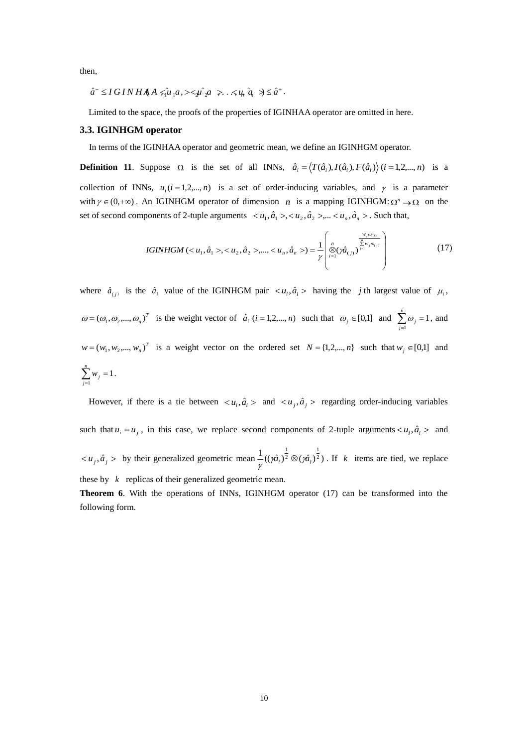then,

$$
\hat{a}^- \le I\,GI\,NH\,A \,A \, \hat{\mu}_1 a, \,\tilde{\lambda}_2 a \,\tilde{\lambda}_1 \,.\, \tilde{\lambda}_3 a \, \tilde{\lambda}_2 a \,.\, \tilde{\lambda}_3 a \,.\, \tilde{\lambda}_4 a \,.
$$

Limited to the space, the proofs of the properties of IGINHAA operator are omitted in here.

### **3.3. IGINHGM operator**

In terms of the IGINHAA operator and geometric mean, we define an IGINHGM operator.

**Definition 11.** Suppose  $\Omega$  is the set of all INNs,  $\hat{a}_i = \langle T(\hat{a}_i), I(\hat{a}_i), F(\hat{a}_i) \rangle$   $(i = 1, 2, ..., n)$  is a collection of INNs,  $u_i$  ( $i = 1, 2, ..., n$ ) is a set of order-inducing variables, and  $\gamma$  is a parameter with  $\gamma \in (0, +\infty)$ . An IGINHGM operator of dimension *n* is a mapping IGINHGM:  $\Omega^n \to \Omega$  on the set of second components of 2-tuple arguments  $\langle u_1, \hat{a}_1 \rangle, \langle u_2, \hat{a}_2 \rangle, \dots, \langle u_n, \hat{a}_n \rangle$ . Such that,

IGINHGM (
$$
\langle u_1, \hat{a}_1 \rangle, \langle u_2, \hat{a}_2 \rangle, ..., \langle u_n, \hat{a}_n \rangle) = \frac{1}{\gamma} \begin{pmatrix} \frac{w_j \omega_{(j)}}{\sum\limits_{i=1}^n w_j \omega_{(j)}} \\ \otimes (\hat{w}_{(j)})^{\sum\limits_{j=1}^n w_j \omega_{(j)}} \end{pmatrix}
$$
 (17)

where  $\hat{a}_{(i)}$  is the  $\hat{a}_i$  value of the IGINHGM pair  $\langle u_i, \hat{a}_i \rangle$  having the *j* th largest value of  $\mu_i$ ,  $\omega = (\omega_1, \omega_2, ..., \omega_n)^T$  is the weight vector of  $\hat{a}_i$  (*i* = 1,2,..., *n*) such that  $\omega_j \in [0,1]$  and  $\sum \omega_j = 1$  $\sum_{j=1} \omega_j =$ *n*  $\sum_{j=1}$   $\omega_j$  = 1, and  $w = (w_1, w_2, ..., w_n)^T$  is a weight vector on the ordered set  $N = \{1, 2, ..., n\}$  such that  $w_j \in [0,1]$  and 1  $\sum_{j=1} w_j =$ *n*  $\sum_{j=1}^{\infty} w_j = 1$ .

However, if there is a tie between  $\langle u_i, \hat{a}_i \rangle$  and  $\langle u_j, \hat{a}_j \rangle$  regarding order-inducing variables such that  $u_i = u_j$ , in this case, we replace second components of 2-tuple arguments  $\langle u_i, \hat{a}_i \rangle$  and  $\langle u_j, \hat{a}_j \rangle$  by their generalized geometric mean  $\frac{1}{2}((\hat{m_i})^{\frac{1}{2}} \otimes (\hat{m_i})^{\frac{1}{2}})$ 2 1  $\frac{1}{\gamma}$ ((y $\hat{a}_i$ )<sup>2</sup>  $\otimes$  (y $\hat{a}_i$  $\mathcal{D}(\hat{\mathfrak{n}}_i)^2$ . If k items are tied, we replace these by *k* replicas of their generalized geometric mean.

**Theorem 6**. With the operations of INNs, IGINHGM operator (17) can be transformed into the following form.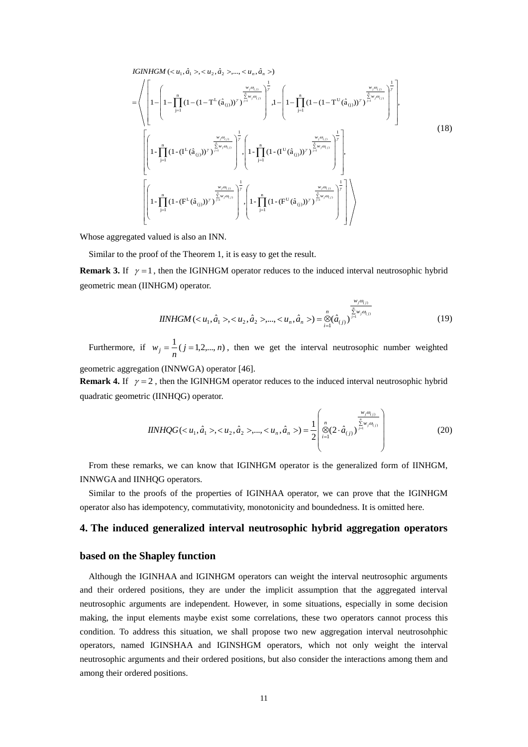IGINHGM (
$$
\langle u_1, \hat{a}_1 \rangle, \langle u_2, \hat{a}_2 \rangle, ..., \langle u_n, \hat{a}_n \rangle)
$$
  
\n=
$$
\left\langle \left[ 1 - \left[ 1 - \prod_{j=1}^n (1 - (1 - T^L(\hat{a}_{(j)}))^{\gamma})^{\frac{1}{\sum_{j=1}^n \varphi_{(j)}}} \right]_j^{\frac{1}{\sum_{j=1}^n \varphi_{(j)}}} 1 - \left[ 1 - \prod_{j=1}^n (1 - (1 - T^U(\hat{a}_{(j)}))^{\gamma})^{\frac{1}{\sum_{j=1}^n \varphi_{(j)}}} \right]_j^{\frac{1}{\sum_{j=1}^n \varphi_{(j)}}} 1 - \left[ 1 - \prod_{j=1}^n (1 - (1 - T^U(\hat{a}_{(j)}))^{\gamma})^{\frac{1}{\sum_{j=1}^n \varphi_{(j)}}} 1 \right]_j^{\frac{1}{\sum_{j=1}^n \varphi_{(j)}}} \right]_j^{\frac{1}{\sum_{j=1}^n \varphi_{(j)}} - 1} \left[ 1 - \prod_{j=1}^n (1 - (1 - T^L(\hat{a}_{(j)}))^{\gamma})^{\frac{1}{\sum_{j=1}^n \varphi_{(j)}}} 1 \right]_j^{\frac{1}{\sum_{j=1}^n \varphi_{(j)}} - 1} \left[ 1 - \prod_{j=1}^n (1 - (T^L(\hat{a}_{(j)}))^{\gamma})^{\frac{1}{\sum_{j=1}^n \varphi_{(j)}}} 1 - \prod_{j=1}^n (1 - (F^U(\hat{a}_{(j)}))^{\gamma})^{\frac{1}{\sum_{j=1}^n \varphi_{(j)}}} 1 \right]_j^{\frac{1}{\sum_{j=1}^n \varphi_{(j)}} - 1} \left[ 1 - \prod_{j=1}^n (1 - (F^L(\hat{a}_{(j)}))^{\gamma})^{\frac{1}{\sum_{j=1}^n \varphi_{(j)}}} 1 \right]
$$
\n(18)

Whose aggregated valued is also an INN.

Similar to the proof of the Theorem 1, it is easy to get the result.

**Remark 3.** If  $\gamma = 1$ , then the IGINHGM operator reduces to the induced interval neutrosophic hybrid geometric mean (IINHGM) operator.

$$
IINHGM < u_1, \hat{a}_1 > < u_2, \hat{a}_2 > , \dots, < u_n, \hat{a}_n > = \bigotimes_{i=1}^n (\hat{a}_{(j)})^{\sum_{j=1}^n w_j \omega_{(j)}}
$$
\n
$$
(19)
$$

Furthermore, if  $w_j = \frac{1}{n}$  ( $j = 1, 2, ..., n$ ), then we get the interval neutrosophic number weighted geometric aggregation (INNWGA) operator [46].

**Remark 4.** If  $\gamma = 2$ , then the IGINHGM operator reduces to the induced interval neutrosophic hybrid quadratic geometric (IINHQG) operator.

$$
IINHQG \left( \langle u_1, \hat{a}_1 \rangle, \langle u_2, \hat{a}_2 \rangle, \dots, \langle u_n, \hat{a}_n \rangle \right) = \frac{1}{2} \left( \bigotimes_{i=1}^n (2 \cdot \hat{a}_{(i)})^{\frac{w_j \omega_{(i)}}{\sum_{i=1}^n w_j \omega_{(i)}}} \right)
$$
(20)

 From these remarks, we can know that IGINHGM operator is the generalized form of IINHGM, INNWGA and IINHQG operators.

 Similar to the proofs of the properties of IGINHAA operator, we can prove that the IGINHGM operator also has idempotency, commutativity, monotonicity and boundedness. It is omitted here.

# **4. The induced generalized interval neutrosophic hybrid aggregation operators**

### **based on the Shapley function**

Although the IGINHAA and IGINHGM operators can weight the interval neutrosophic arguments and their ordered positions, they are under the implicit assumption that the aggregated interval neutrosophic arguments are independent. However, in some situations, especially in some decision making, the input elements maybe exist some correlations, these two operators cannot process this condition. To address this situation, we shall propose two new aggregation interval neutrosohphic operators, named IGINSHAA and IGINSHGM operators, which not only weight the interval neutrosophic arguments and their ordered positions, but also consider the interactions among them and among their ordered positions.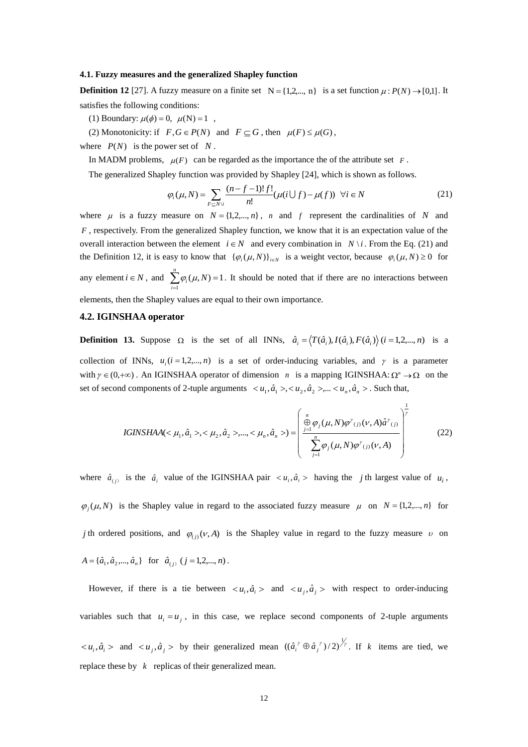#### **4.1. Fuzzy measures and the generalized Shapley function**

**Definition 12** [27]. A fuzzy measure on a finite set  $N = \{1, 2, ..., n\}$  is a set function  $\mu : P(N) \rightarrow [0,1]$ . It satisfies the following conditions:

(1) Boundary:  $\mu(\phi) = 0$ ,  $\mu(N) = 1$ ,

(2) Monotonicity: if  $F, G \in P(N)$  and  $F \subseteq G$ , then  $\mu(F) \leq \mu(G)$ ,

where  $P(N)$  is the power set of  $N$ .

In MADM problems,  $\mu(F)$  can be regarded as the importance the of the attribute set  $F$ .

The generalized Shapley function was provided by Shapley [24], which is shown as follows.

$$
\varphi_i(\mu, N) = \sum_{F \subseteq N \setminus i} \frac{(n - f - 1)! f!}{n!} (\mu(i \cup f) - \mu(f)) \quad \forall i \in N
$$
\n(21)

where  $\mu$  is a fuzzy measure on  $N = \{1, 2, ..., n\}$ , *n* and *f* represent the cardinalities of *N* and *F*, respectively. From the generalized Shapley function, we know that it is an expectation value of the overall interaction between the element  $i \in N$  and every combination in  $N \setminus i$ . From the Eq. (21) and the Definition 12, it is easy to know that  $\{\varphi_i(\mu, N)\}_{i \in N}$  is a weight vector, because  $\varphi_i(\mu, N) \ge 0$  for any element  $i \in N$ , and  $\sum \varphi_i(\mu, N) = 1$  $\sum_{i=1}^{N} \varphi_i(\mu, N) =$ *n*  $\sum_{i=1}^{\infty} \varphi_i(\mu, N) = 1$ . It should be noted that if there are no interactions between

elements, then the Shapley values are equal to their own importance.

# **4.2. IGINSHAA operator**

**Definition 13.** Suppose  $\Omega$  is the set of all INNs,  $\hat{a}_i = \langle T(\hat{a}_i), I(\hat{a}_i), F(\hat{a}_i) \rangle$   $(i = 1, 2, ..., n)$  is a collection of INNs,  $u_i$  ( $i = 1, 2, ..., n$ ) is a set of order-inducing variables, and  $\gamma$  is a parameter with  $\gamma \in (0, +\infty)$ . An IGINSHAA operator of dimension *n* is a mapping IGINSHAA:  $\Omega^n \to \Omega$  on the set of second components of 2-tuple arguments  $\langle u_1, \hat{a}_1 \rangle, \langle u_2, \hat{a}_2 \rangle, \dots, \langle u_n, \hat{a}_n \rangle$ . Such that,

IGINSHAA(
$$
\mu_1, \hat{a}_1
$$
>, $\langle \mu_2, \hat{a}_2$ ),..., $\langle \mu_n, \hat{a}_n \rangle$ ) = 
$$
\left( \frac{\bigoplus_{j=1}^n \varphi_j(\mu, N) \varphi^{\gamma}(j)}{\sum_{j=1}^n \varphi_j(\mu, N) \varphi^{\gamma}(j)} \left( \frac{\bigoplus_{j=1}^n \varphi_j(\mu, N) \varphi^{\gamma}(j)}{\sum_{j=1}^n \varphi_j(\mu, N) \varphi^{\gamma}(j)} \right)^{\frac{1}{\gamma}} \right)
$$
(22)

where  $\hat{a}_{(i)}$  is the  $\hat{a}_i$  value of the IGINSHAA pair  $\langle u_i, \hat{a}_i \rangle$  having the *j* th largest value of  $u_i$ ,  $\varphi_j(\mu, N)$  is the Shapley value in regard to the associated fuzzy measure  $\mu$  on  $N = \{1, 2, ..., n\}$  for *j* th ordered positions, and  $\varphi_{(i)}(v, A)$  is the Shapley value in regard to the fuzzy measure v on  $A = \{\hat{a}_1, \hat{a}_2, ..., \hat{a}_n\}$  for  $\hat{a}_{(j)}$   $(j = 1, 2, ..., n)$ .

However, if there is a tie between  $\langle u_i, \hat{a}_i \rangle$  and  $\langle u_j, \hat{a}_j \rangle$  with respect to order-inducing variables such that  $u_i = u_j$ , in this case, we replace second components of 2-tuple arguments  $\langle u_i, \hat{a}_i \rangle$  and  $\langle u_j, \hat{a}_j \rangle$  by their generalized mean  $((\hat{a}_i^{\gamma} \oplus \hat{a}_j^{\gamma})/2)^{\frac{1}{\gamma}}$ . If k items are tied, we replace these by  $k$  replicas of their generalized mean.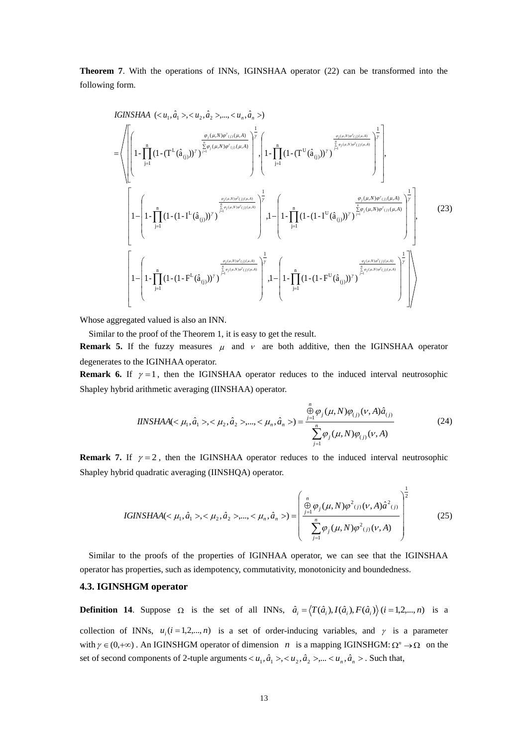**Theorem 7**. With the operations of INNs, IGINSHAA operator (22) can be transformed into the following form.

IGINSHAA (
$$
\langle u_1, \hat{a}_1 \rangle, \langle u_2, \hat{a}_2 \rangle, ..., \langle u_n, \hat{a}_n \rangle)
$$
  
\n=
$$
\left\{\left[\left(1 - \prod_{j=1}^n (1 - (T^L(\hat{a}_{(j)}))^{\gamma})^{\sum_{j=1}^n \sum_{j=1}^n (y_i \mu, N) \varphi^{\gamma}(j)} (\mu, A)}\right)^{\frac{1}{\gamma}} , \left(1 - \prod_{j=1}^n (1 - (T^U(\hat{a}_{(j)}))^{\gamma})^{\sum_{j=1}^n \sum_{j=1}^n (y_i \mu, N) \varphi^{\gamma}(j)} (\mu, A)}\right)^{\frac{1}{\gamma}} , \left(1 - \prod_{j=1}^n (1 - (T^U(\hat{a}_{(j)}))^{\gamma})^{\sum_{j=1}^n \sum_{j=1}^n (y_i \mu, N) \varphi^{\gamma}(j)} (\mu, A)}\right)^{\frac{1}{\gamma}} , \left(1 - \prod_{j=1}^n (1 - (T^L(\hat{a}_{(j)}))^{\gamma})^{\sum_{j=1}^n \sum_{j=1}^n (y_i \mu, N) \varphi^{\gamma}(j)} (\mu, A)}\right)^{\frac{1}{\gamma}} , 1 - \left(1 - \prod_{j=1}^n (1 - (1 - T^L(\hat{a}_{(j)}))^{\gamma})^{\sum_{j=1}^n \sum_{j=1}^n (y_j \mu, N) \varphi^{\gamma}(j)} (\mu, A)}\right)^{\frac{1}{\gamma}} , 1 - \left(1 - \prod_{j=1}^n (1 - (1 - T^L(\hat{a}_{(j)}))^{\gamma})^{\sum_{j=1}^n \sum_{j=1}^n (y_j \mu, N) \varphi^{\gamma}(j)} (\mu, A)}\right)^{\frac{1}{\gamma}} , 1 - \left(1 - \prod_{j=1}^n (1 - (1 - F^U(\hat{a}_{(j)}))^{\gamma})^{\sum_{j=1}^n \sum_{j=1}^n (y_j \mu, N) \varphi^{\gamma}(j)} (\mu, A)}\right)^{\frac{1}{\gamma}} , 1 - \left(1 - \prod_{j=1}^n (1 - (1 - F^U(\hat{a}_{(j)}))^{\gamma})^{\sum_{j=1}^n \sum_{j=1}^n (y_j \mu, N) \varphi^{\gamma}(j)} (\mu, A)}\right)^
$$

Whose aggregated valued is also an INN.

Similar to the proof of the Theorem 1, it is easy to get the result.

**Remark 5.** If the fuzzy measures  $\mu$  and  $\nu$  are both additive, then the IGINSHAA operator degenerates to the IGINHAA operator.

**Remark 6.** If  $\gamma = 1$ , then the IGINSHAA operator reduces to the induced interval neutrosophic Shapley hybrid arithmetic averaging (IINSHAA) operator.

$$
IINSHAA(<\mu_1, \hat{a}_1>, \langle \mu_2, \hat{a}_2>, ..., \langle \mu_n, \hat{a}_n \rangle) = \frac{\sum_{j=1}^n \varphi_j(\mu, N) \varphi_{(j)}(\nu, A) \hat{a}_{(j)}}{\sum_{j=1}^n \varphi_j(\mu, N) \varphi_{(j)}(\nu, A)}
$$
(24)

**Remark 7.** If  $\gamma = 2$ , then the IGINSHAA operator reduces to the induced interval neutrosophic Shapley hybrid quadratic averaging (IINSHQA) operator.

IGINSHAA(
$$
\mu_1, \hat{a}_1
$$
>, $\langle \mu_2, \hat{a}_2$ ),..., $\langle \mu_n, \hat{a}_n \rangle$ ) = 
$$
\left( \frac{\bigoplus_{j=1}^n \varphi_j(\mu, N) \varphi^2(j) (v, A) \hat{a}^2(j)}{\sum_{j=1}^n \varphi_j(\mu, N) \varphi^2(j) (v, A)} \right)^{\frac{1}{2}}
$$
(25)

 Similar to the proofs of the properties of IGINHAA operator, we can see that the IGINSHAA operator has properties, such as idempotency, commutativity, monotonicity and boundedness.

## **4.3. IGINSHGM operator**

**Definition 14.** Suppose  $\Omega$  is the set of all INNs,  $\hat{a}_i = \langle T(\hat{a}_i), I(\hat{a}_i), F(\hat{a}_i) \rangle$   $(i = 1, 2, ..., n)$  is a

collection of INNs,  $u_i$  ( $i = 1, 2, ..., n$ ) is a set of order-inducing variables, and  $\gamma$  is a parameter with  $\gamma \in (0, +\infty)$ . An IGINSHGM operator of dimension *n* is a mapping IGINSHGM:  $\Omega^n \to \Omega$  on the set of second components of 2-tuple arguments  $\langle u_1, \hat{a}_1 \rangle, \langle u_2, \hat{a}_2 \rangle, \dots, \langle u_n, \hat{a}_n \rangle$ . Such that,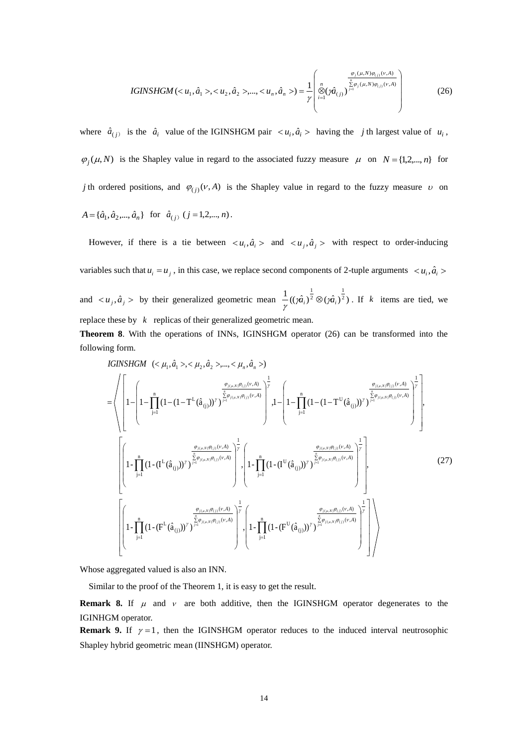IGINSHGM(
$$
u_1, \hat{a}_1
$$
>, $u_2, \hat{a}_2$ ),..., $u_n, \hat{a}_n$ ) = 
$$
\frac{1}{\gamma} \begin{pmatrix} \frac{\varphi_j(\mu, N)\varphi_{(j)}(\nu, A)}{\frac{\pi}{2} \varphi_j(\mu, N)\varphi_{(j)}(\nu, A)} \\ \frac{\varphi_j(\mu, N)\varphi_{(j)}(\nu, A)}{\frac{\pi}{2} \varphi_j(\mu, N)\varphi_{(j)}(\nu, A)} \end{pmatrix}
$$
(26)

where  $\hat{a}_{(i)}$  is the  $\hat{a}_i$  value of the IGINSHGM pair  $\langle u_i, \hat{a}_i \rangle$  having the *j* th largest value of  $u_i$ ,  $\varphi_j(\mu, N)$  is the Shapley value in regard to the associated fuzzy measure  $\mu$  on  $N = \{1, 2, ..., n\}$  for *j* th ordered positions, and  $\varphi_{(j)}(v, A)$  is the Shapley value in regard to the fuzzy measure v on  $A = \{\hat{a}_1, \hat{a}_2, ..., \hat{a}_n\}$  for  $\hat{a}_{(j)}$   $(j = 1, 2, ..., n)$ .

However, if there is a tie between  $\langle u_i, \hat{a}_i \rangle$  and  $\langle u_j, \hat{a}_j \rangle$  with respect to order-inducing variables such that  $u_i = u_j$ , in this case, we replace second components of 2-tuple arguments  $\langle u_i, \hat{a}_i \rangle$ and  $\langle u_j, \hat{a}_j \rangle$  by their generalized geometric mean  $\frac{1}{2}$   $((\hat{m}_i)^{\frac{1}{2}} \otimes (\hat{m}_i)^{\frac{1}{2}})$ 2 1  $\frac{1}{\gamma}$ (( $\hat{m_i}$ )<sup>2</sup>  $\otimes$ ( $\hat{m_i}$  $\mathcal{D}(\hat{\mathfrak{m}}_i)^2$ . If k items are tied, we replace these by  $k$  replicas of their generalized geometric mean.

**Theorem 8**. With the operations of INNs, IGINSHGM operator (26) can be transformed into the following form.

 1 n 1j ),( ),( (j) U 1 n 1j ),( ),( (j) L 1 n 1j ),( ),( (j) U 1 n 1j ),( ),( (j) L 1 n 1j ),( ),( (j) U 1 n 1j ),( ),( (j) L 11 22 1 )(),( )(),( 1 )(),( )(),( 1 )(),( )(),( 1 )(),( )(),( 1 )(),( )(),( 1 )(),( )(),( -1 (1-(F (aˆ )) ) -1, (1-(F (aˆ )) ) -1 (1-(I (aˆ )) ) -1, (1-(I (aˆ )) ) , 11 (1(1 (T aˆ )) ) 11, (1(1 (T aˆ )) ) , ,( ˆ ,, ˆ ,,..., ˆ ) *n j jNj jNj n j jNj jNj n j jNj jNj n jNj jNj n j jNj jNj n j jNj jNj A A A A A A A A A A A A nn IGINSHGM aaa* (27)

Whose aggregated valued is also an INN.

Similar to the proof of the Theorem 1, it is easy to get the result.

**Remark 8.** If  $\mu$  and  $\nu$  are both additive, then the IGINSHGM operator degenerates to the IGINHGM operator.

**Remark 9.** If  $\gamma = 1$ , then the IGINSHGM operator reduces to the induced interval neutrosophic Shapley hybrid geometric mean (IINSHGM) operator.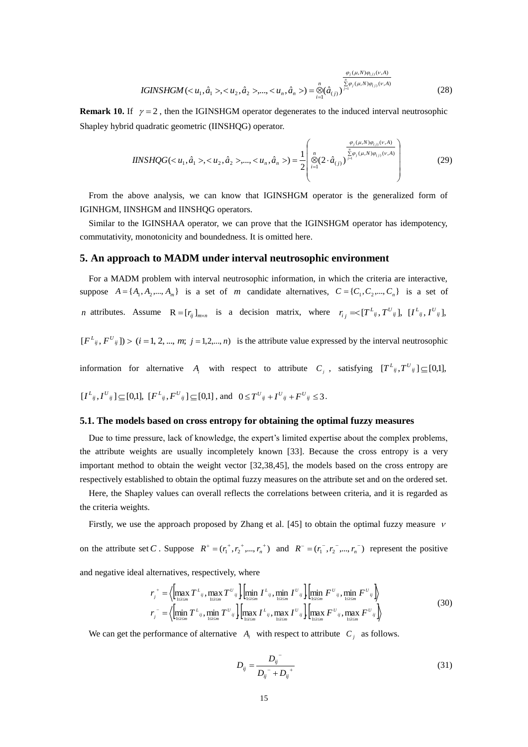IGINSHGM(
$$
u_1, \hat{a}_1 >, , ..., ) = 
$$
\bigotimes_{i=1}^n (\hat{a}_{(i)})^{\sum_{j=1}^n \varphi_j(\mu, N)\varphi_{(j)}(\nu, A)}
$$
(28)
$$

**Remark 10.** If  $\gamma = 2$ , then the IGINSHGM operator degenerates to the induced interval neutrosophic Shapley hybrid quadratic geometric (IINSHQG) operator.

$$
IINSHQG(1, \hat{a}1>, 2, \hat{a}2>, ..., n, \hat{a}n>) = \frac{1}{2} \begin{pmatrix} \frac{\varphi_j(\mu, N)\varphi_{(j)}(v, A)}{\frac{v}{2}\varphi_j(\mu, N)\varphi_{(j)}(v, A)} \\ \otimes (2 \cdot \hat{a}_{(j)})^{\frac{v}{j}} \end{pmatrix}
$$
(29)

 From the above analysis, we can know that IGINSHGM operator is the generalized form of IGINHGM, IINSHGM and IINSHQG operators.

 Similar to the IGINSHAA operator, we can prove that the IGINSHGM operator has idempotency, commutativity, monotonicity and boundedness. It is omitted here.

### **5. An approach to MADM under interval neutrosophic environment**

 For a MADM problem with interval neutrosophic information, in which the criteria are interactive, suppose  $A = \{A_1, A_2, ..., A_m\}$  is a set of *m* candidate alternatives,  $C = \{C_1, C_2, ..., C_n\}$  is a set of *n* attributes. Assume  $R = [r_{ij}]_{m \times n}$  is a decision matrix, where  $r_{ij} = \langle [T^{L}_{ij}, T^{U}_{ij}], [I^{L}_{ij}, I^{U}_{ij}] \rangle$ 

 $[F_{ij}, F_{ij}] > (i = 1, 2, ..., m; j = 1, 2, ..., n)$  is the attribute value expressed by the interval neutrosophic

information for alternative  $A_i$  with respect to attribute  $C_j$ , satisfying  $[T^L_{ij}, T^U_{ij}] \subseteq [0,1]$ ,

$$
[I^L_{ij}, I^U_{ij}] \subseteq [0,1], [F^L_{ij}, F^U_{ij}] \subseteq [0,1],
$$
 and  $0 \le T^U_{ij} + I^U_{ij} + F^U_{ij} \le 3$ .

#### **5.1. The models based on cross entropy for obtaining the optimal fuzzy measures**

Due to time pressure, lack of knowledge, the expert's limited expertise about the complex problems, the attribute weights are usually incompletely known [33]. Because the cross entropy is a very important method to obtain the weight vector [32,38,45], the models based on the cross entropy are respectively established to obtain the optimal fuzzy measures on the attribute set and on the ordered set.

Here, the Shapley values can overall reflects the correlations between criteria, and it is regarded as the criteria weights.

Firstly, we use the approach proposed by Zhang et al. [45] to obtain the optimal fuzzy measure  $\nu$ on the attribute set *C*. Suppose  $R^+ = (r_1^+, r_2^+, ..., r_n^+)$  and  $R^- = (r_1^-, r_2^-, ..., r_n^-)$  represent the positive<br>and negative ideal alternatives, respectively, where<br> $r_j^+ = \left\langle \left[ \max_{1 \le i \le m} T^L_{ij}, \max_{1 \le i \le m} T^U_{ij} \right] \left[ \min_{1 \le i \le$ and negative ideal alternatives, respectively, where

Iternatives, respectively, where  
\n
$$
r_j^+ = \left\langle \left[ \max_{1 \le i \le m} T^L_{ij}, \max_{1 \le i \le m} T^U_{ij} \right] \left[ \min_{1 \le i \le m} I^L_{ij}, \min_{1 \le i \le m} I^U_{ij} \right] \left[ \min_{1 \le i \le m} F^U_{ij}, \min_{1 \le i \le m} F^U_{ij} \right] \right\rangle
$$
\n
$$
r_j^- = \left\langle \left[ \min_{1 \le i \le m} T^L_{ij}, \min_{1 \le i \le m} T^U_{ij} \right] \left[ \max_{1 \le i \le m} I^L_{ij}, \max_{1 \le i \le m} I^U_{ij} \right] \left[ \max_{1 \le i \le m} F^U_{ij}, \max_{1 \le i \le m} F^U_{ij} \right] \right\rangle
$$
\n(30)

We can get the performance of alternative  $A_i$  with respect to attribute  $C_j$  as follows.

$$
D_{ij} = \frac{D_{ij}^{-}}{D_{ij}^{-} + D_{ij}^{+}}
$$
\n(31)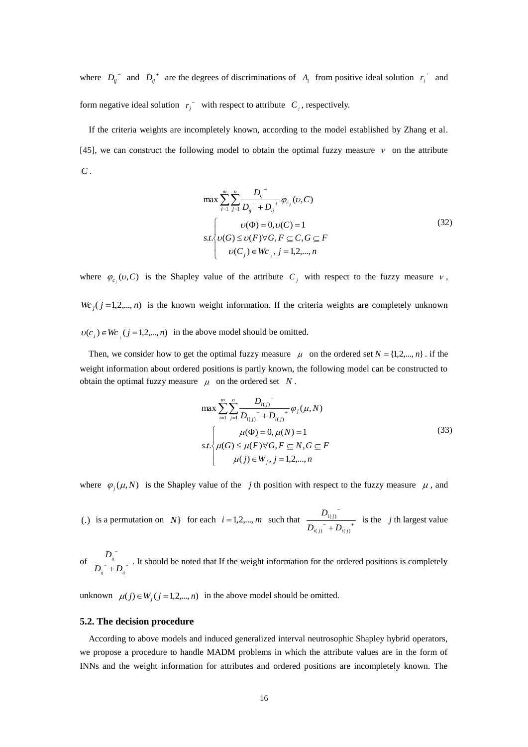where  $D_{ij}$ <sup>-</sup> and  $D_{ij}$ <sup>+</sup> are the degrees of discriminations of  $A_i$  from positive ideal solution  $r_j$ <sup>+</sup> and form negative ideal solution  $r_i^{\dagger}$  with respect to attribute  $C_i$ , respectively.

 If the criteria weights are incompletely known, according to the model established by Zhang et al. [45], we can construct the following model to obtain the optimal fuzzy measure  $\nu$  on the attribute *C* .

$$
\max \sum_{i=1}^{m} \sum_{j=1}^{n} \frac{D_{ij}^{-}}{D_{ij}^{-} + D_{ij}^{+}} \varphi_{c_j}(v, C)
$$
  

$$
s.t. \begin{cases} v(\Phi) = 0, v(C) = 1 \\ v(G) \le v(F) \forall G, F \subseteq C, G \subseteq F \\ v(C_j) \in Wc_{j}, j = 1, 2, ..., n \end{cases}
$$
(32)

where  $\varphi_{c_i}(v, C)$  is the Shapley value of the attribute  $C_j$  with respect to the fuzzy measure  $v$ ,  $Wc_j$  ( $j = 1, 2, \ldots, n$ ) is the known weight information. If the criteria weights are completely unknown  $v(c_j) \in Wc_j$  ( $j = 1,2,...,n$ ) in the above model should be omitted.

Then, we consider how to get the optimal fuzzy measure  $\mu$  on the ordered set  $N = \{1, 2, ..., n\}$ . if the weight information about ordered positions is partly known, the following model can be constructed to obtain the optimal fuzzy measure  $\mu$  on the ordered set N.

$$
\max \sum_{i=1}^{m} \sum_{j=1}^{n} \frac{D_{i(j)}^{\top}}{D_{i(j)}^{\top} + D_{i(j)}^{\top}} \varphi_j(\mu, N)
$$
  

$$
s.t. \begin{cases} \mu(\Phi) = 0, \mu(N) = 1\\ \mu(G) \le \mu(F) \forall G, F \subseteq N, G \subseteq F\\ \mu(j) \in W_j, j = 1, 2, ..., n \end{cases}
$$
(33)

where  $\varphi_j(\mu, N)$  is the Shapley value of the *j* th position with respect to the fuzzy measure  $\mu$ , and

(.) is a permutation on *N* for each  $i = 1, 2, \dots, m$  such that  $\frac{D_i}{D_i} = \frac{D_i}{D_i}$  $\overline{a}$  $\frac{1}{(j)}$  +  $D_{i(j)}$  $(j)$  $i(j)$   $\top \boldsymbol{\nu}_{i(j)}$ *ji*  $D_{i(j)}^{\qquad -} + D$  $\frac{D_{i(j)}}{T}$  is the *j* th largest value

of  $\frac{v_{ij}}{R}$ ÷  $\bar{i}_j$ <sup> $\bar{j}$ </sup> +  $D_{ij}$ *ij*  $D_\mu^- + D$  $D_{ij}$ .<br>It should be noted that If the weight information for the ordered positions is completely

unknown  $\mu(j) \in W_j$  ( $j = 1, 2, ..., n$ ) in the above model should be omitted.

#### **5.2. The decision procedure**

According to above models and induced generalized interval neutrosophic Shapley hybrid operators, we propose a procedure to handle MADM problems in which the attribute values are in the form of INNs and the weight information for attributes and ordered positions are incompletely known. The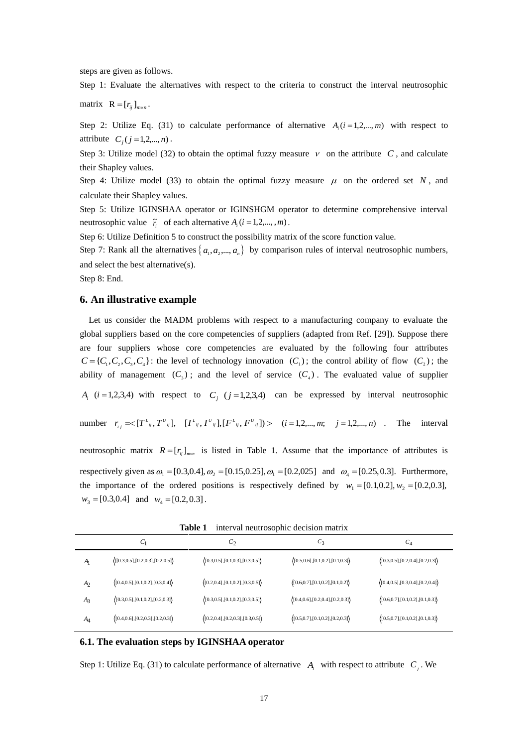steps are given as follows.

Step 1: Evaluate the alternatives with respect to the criteria to construct the interval neutrosophic

matrix  $\mathbf{R} = [r_{ij}]_{m \times n}$ .

Step 2: Utilize Eq. (31) to calculate performance of alternative  $A_i$  ( $i = 1, 2, ..., m$ ) with respect to attribute  $C_j$  (*j* = 1,2,..., *n*).

Step 3: Utilize model (32) to obtain the optimal fuzzy measure  $\nu$  on the attribute C, and calculate their Shapley values.

Step 4: Utilize model (33) to obtain the optimal fuzzy measure  $\mu$  on the ordered set N, and calculate their Shapley values.

Step 5: Utilize IGINSHAA operator or IGINSHGM operator to determine comprehensive interval neutrosophic value  $\tilde{r}_i$  of each alternative  $A_i$  (*i* = 1,2,...,,*m*).

Step 6: Utilize Definition 5 to construct the possibility matrix of the score function value.

Step 7: Rank all the alternatives  $\{a_1, a_2, ..., a_n\}$  by comparison rules of interval neutrosophic numbers, and select the best alternative(s).

Step 8: End.

## **6. An illustrative example**

 $w_3 = [0.3, 0.4]$  and  $w_4 = [0.2, 0.3]$ .

Let us consider the MADM problems with respect to a manufacturing company to evaluate the global suppliers based on the core competencies of suppliers (adapted from Ref. [29]). Suppose there are four suppliers whose core competencies are evaluated by the following four attributes  $C = \{C_1, C_2, C_3, C_4\}$ : the level of technology innovation  $(C_1)$ ; the control ability of flow  $(C_2)$ ; the ability of management  $(C_3)$ ; and the level of service  $(C_4)$ . The evaluated value of supplier  $A_i$  (*i* = 1,2,3,4) with respect to  $C_j$  (*j* = 1,2,3,4) can be expressed by interval neutrosophic number  $r_{ij} = \langle [T^{L}_{ij}, T^{U}_{ij}], [I^{L}_{ij}, I^{U}_{ij}], [F^{L}_{ij}, F^{U}_{ij}]\rangle$   $(i = 1, 2, ..., m; j = 1, 2, ..., n)$ . The interval

neutrosophic matrix  $R = [r_{ij}]_{m \times n}$  is listed in Table 1. Assume that the importance of attributes is respectively given as  $\omega_1 = [0.3, 0.4], \omega_2 = [0.15, 0.25], \omega_1 = [0.2, 0.025]$  and  $\omega_4 = [0.25, 0.3]$ . Furthermore, the importance of the ordered positions is respectively defined by  $w_1 = [0.1, 0.2], w_2 = [0.2, 0.3],$ 

 $C_1$   $C_2$   $C_3$   $C_4$ *A*1  $\langle [0.3,0.5],[0.2,0.3],[0.2,0.5]\rangle$   $\langle [0.3,0.5],[0.1,0.3],[0.3,0.5]\rangle$   $\langle [0.5,0.6],[0.1,0.2],[0.1,0.3]\rangle$   $\langle [0.3,0.5],[0.2,0.4],[0.2,0.3]\rangle$ *A*2  $\langle [0.4, 0.5], [0.1, 0.2], [0.3, 0.4] \rangle$   $\langle [0.2, 0.4], [0.1, 0.2], [0.3, 0.5] \rangle$   $\langle [0.6, 0.7], [0.1, 0.2], [0.1, 0.2],$ *A*3  $\langle [0.3, 0.5], [0.1, 0.2], [0.2, 0.3] \rangle$   $\langle [0.3, 0.5], [0.1, 0.2], [0.3, 0.5] \rangle$   $\langle [0.4, 0.6], [0.2, 0.4], [0.2, 0.3] \rangle$   $\langle [0.6, 0.7], [0.1, 0.2], [0.1, 0.3] \rangle$ *A*4  $\langle [0.4, 0.6], [0.2, 0.3], [0.2, 0.3]\rangle$   $\langle [0.2, 0.4], [0.2, 0.3], [0.3, 0.5]\rangle$   $\langle [0.5, 0.7], [0.1, 0.2], [0.2, 0.3]\rangle$   $\langle [0.5, 0.7], [0.1, 0.2], [0.1, 0.2], [0.1, 0.3]\rangle$ 

**Table 1** interval neutrosophic decision matrix

#### **6.1. The evaluation steps by IGINSHAA operator**

Step 1: Utilize Eq. (31) to calculate performance of alternative  $A_i$  with respect to attribute  $C_j$ . We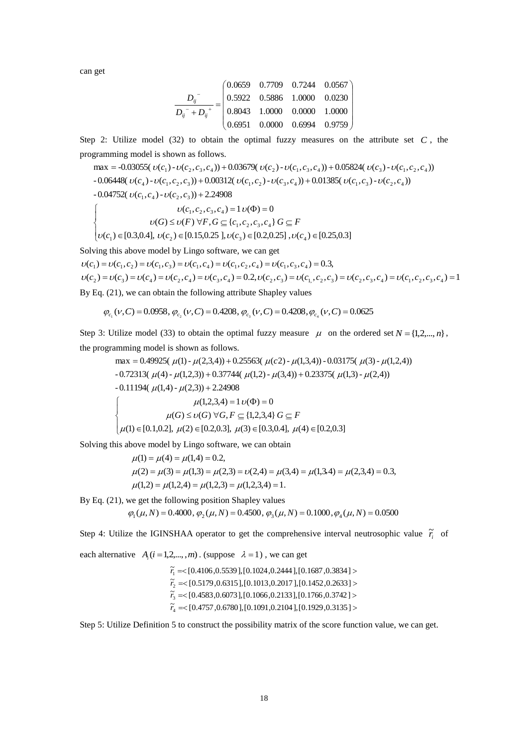can get

$$
\frac{D_{ij}^{\phantom{ij}}}{D_{ij}^{\phantom{ij}-} + D_{ij}^{\phantom{ij}+}} = \begin{pmatrix} 0.0659 & 0.7709 & 0.7244 & 0.0567 \\ 0.5922 & 0.5886 & 1.0000 & 0.0230 \\ 0.8043 & 1.0000 & 0.0000 & 1.0000 \\ 0.6951 & 0.0000 & 0.6994 & 0.9759 \end{pmatrix}
$$

Step 2: Utilize model  $(32)$  to obtain the optimal fuzzy measures on the attribute set  $C$ , the programming model is shown as follows.

$$
\max = -0.03055(\upsilon(c_1) - \upsilon(c_2, c_3, c_4)) + 0.03679(\upsilon(c_2) - \upsilon(c_1, c_3, c_4)) + 0.05824(\upsilon(c_3) - \upsilon(c_1, c_2, c_4))
$$
  
\n
$$
-0.06448(\upsilon(c_4) - \upsilon(c_1, c_2, c_3)) + 0.00312(\upsilon(c_1, c_2) - \upsilon(c_3, c_4)) + 0.01385(\upsilon(c_1, c_3) - \upsilon(c_2, c_4))
$$
  
\n
$$
-0.04752(\upsilon(c_1, c_4) - \upsilon(c_2, c_3)) + 2.24908
$$
  
\n
$$
\upsilon(c_1, c_2, c_3, c_4) = 1 \upsilon(\Phi) = 0
$$
  
\n
$$
\upsilon(G) \le \upsilon(F) \,\forall F, G \subseteq \{c_1, c_2, c_3, c_4\} \, G \subseteq F
$$
  
\n
$$
\upsilon(c_1) \in [0.3, 0.4], \, \upsilon(c_2) \in [0.15, 0.25], \upsilon(c_3) \in [0.2, 0.25], \upsilon(c_4) \in [0.25, 0.3]
$$

Solving this above model by Lingo software, we can get

 $\nu(c_1) = \nu(c_1, c_2) = \nu(c_1, c_3) = \nu(c_1, c_4) = \nu(c_1, c_2, c_4) = \nu(c_1, c_3, c_4) = 0.3$ 

 $\nu(c_2) = \nu(c_3) = \nu(c_4) = \nu(c_2,c_4) = \nu(c_3,c_4) = 0.2, \nu(c_2,c_3) = \nu(c_1,c_2,c_3) = \nu(c_2,c_3,c_4) = \nu(c_1,c_2,c_3,c_4) = 1$ By Eq. (21), we can obtain the following attribute Shapley values

$$
\varphi_{c_1}(v, C) = 0.0958, \varphi_{c_2}(v, C) = 0.4208, \varphi_{c_3}(v, C) = 0.4208, \varphi_{c_4}(v, C) = 0.0625
$$

Step 3: Utilize model (33) to obtain the optimal fuzzy measure  $\mu$  on the ordered set  $N = \{1, 2, ..., n\}$ , the programming model is shown as follows.

max = 0.49925(
$$
\mu
$$
(1) -  $\mu$ (2,3,4)) + 0.25563( $\mu$ (c2) -  $\mu$ (1,3,4)) - 0.03175( $\mu$ (3) -  $\mu$ (1,2,4))  
- 0.72313( $\mu$ (4) -  $\mu$ (1,2,3)) + 0.37744( $\mu$ (1,2) -  $\mu$ (3,4)) + 0.23375( $\mu$ (1,3) -  $\mu$ (2,4))  
- 0.11194( $\mu$ (1,4) -  $\mu$ (2,3)) + 2.24908  
 $\mu$ (1,2,3,4) = 1  $\nu$ ( $\Phi$ ) = 0  
 $\mu$ (G)  $\le \nu$ (G)  $\forall$ G, F  $\subseteq$  {1,2,3,4} G  $\subseteq$  F  
 $\mu$ (1)  $\in$  [0.1,0.2],  $\mu$ (2)  $\in$  [0.2,0.3],  $\mu$ (3)  $\in$  [0.3,0.4],  $\mu$ (4)  $\in$  [0.2,0.3]

Solving this above model by Lingo software, we can obtain

$$
\mu(1) = \mu(4) = \mu(1,4) = 0.2,
$$
  
\n
$$
\mu(2) = \mu(3) = \mu(1,3) = \mu(2,3) = \nu(2,4) = \mu(3,4) = \mu(1,3,4) = \mu(2,3,4) = 0.3,
$$
  
\n
$$
\mu(1,2) = \mu(1,2,4) = \mu(1,2,3) = \mu(1,2,3,4) = 1.
$$

By Eq. (21), we get the following position Shapley values

 $\varphi_1(\mu, N) = 0.4000, \varphi_2(\mu, N) = 0.4500, \varphi_2(\mu, N) = 0.1000, \varphi_1(\mu, N) = 0.0500$ 

Step 4: Utilize the IGINSHAA operator to get the comprehensive interval neutrosophic value  $\tilde{r}_i$  of

each alternative  $A_i$  ( $i = 1, 2, ..., m$ ). (suppose  $\lambda = 1$ ), we can get

 $\widetilde{r}_4 = \leq [0.4757, 0.6780], [0.1091, 0.2104], [0.1929, 0.3135] >$  $\widetilde{r}_3 \approx [0.4583, 0.6073], [0.1066, 0.2133], [0.1766, 0.3742] >$  $\widetilde{r}_2$  = < [0.5179,0.6315], [0.1013,0.2017], [0.1452,0.2633] >  $\widetilde{r}_1 = \{ 0.4106, 0.5539 \}, [0.1024, 0.2444], [0.1687, 0.3834] >$ 

Step 5: Utilize Definition 5 to construct the possibility matrix of the score function value, we can get.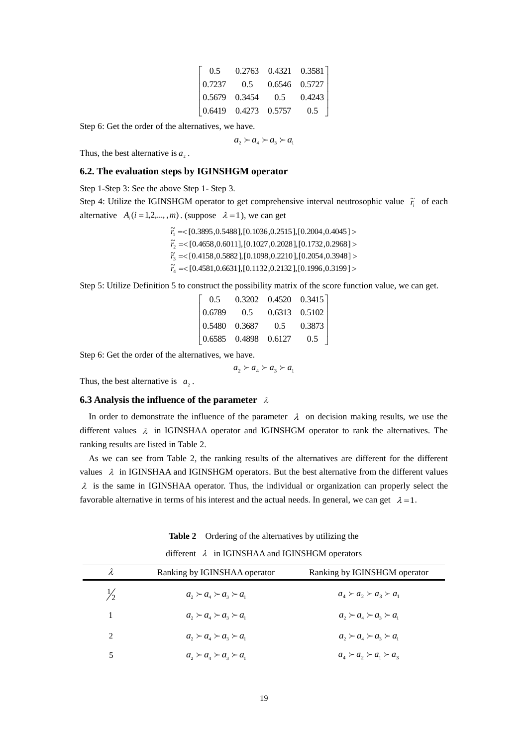| 0.5                                          |                                                             | 0.2763 0.4321 0.3581 |        |
|----------------------------------------------|-------------------------------------------------------------|----------------------|--------|
| $\begin{array}{ l} 0.7237 & 0.5 \end{array}$ |                                                             | $0.6546$ $0.5727$    |        |
|                                              | $\begin{array}{ l} 0.5679 & 0.3454 \end{array}$             | 0.5                  | 0.4243 |
|                                              | $\begin{array}{ ccc } 0.6419 & 0.4273 & 0.5757 \end{array}$ |                      | 0.5    |

Step 6: Get the order of the alternatives, we have.

 $a_2 \succ a_4 \succ a_3 \succ a_1$ 

Thus, the best alternative is  $a_2$ .

### **6.2. The evaluation steps by IGINSHGM operator**

Step 1-Step 3: See the above Step 1- Step 3.

Step 4: Utilize the IGINSHGM operator to get comprehensive interval neutrosophic value  $\tilde{r}_i$  of each alternative  $A_i$  (*i* = 1,2,...,,*m*). (suppose  $\lambda = 1$ ), we can get

> $\widetilde{r}_4 = \leq [0.4581, 0.6631], [0.1132, 0.2132], [0.1996, 0.3199] >$  $\widetilde{r}_3 = \{ [0.4158, 0.5882], [0.1098, 0.2210], [0.2054, 0.3948] \}$  $\widetilde{r}_2$  = < [0.4658, 0.6011], [0.1027, 0.2028], [0.1732, 0.2968] >  $\widetilde{r}_1$  = < [0.3895, 0.5488], [0.1036, 0.2515], [0.2004, 0.4045] >

Step 5: Utilize Definition 5 to construct the possibility matrix of the score function value, we can get.

| 0.5 |                                                       | $0.3202$ $0.4520$ $0.3415$                               |        |
|-----|-------------------------------------------------------|----------------------------------------------------------|--------|
|     | $\begin{array}{ l} 0.6789 & 0.5 \end{array}$          | $0.6313 \quad 0.5102$                                    |        |
|     | $\begin{array}{ l} 0.5480 & 0.3687 & 0.5 \end{array}$ |                                                          | 0.3873 |
|     |                                                       | $\begin{array}{ l} 0.6585 & 0.4898 & 0.6127 \end{array}$ | 0.5    |

Step 6: Get the order of the alternatives, we have.

 $a_2 \succ a_4 \succ a_3 \succ a_1$ 

Thus, the best alternative is  $a_2$ .

### **6.3 Analysis the influence of the parameter**  $\lambda$

In order to demonstrate the influence of the parameter  $\lambda$  on decision making results, we use the different values  $\lambda$  in IGINSHAA operator and IGINSHGM operator to rank the alternatives. The ranking results are listed in Table 2.

 As we can see from Table 2, the ranking results of the alternatives are different for the different values  $\lambda$  in IGINSHAA and IGINSHGM operators. But the best alternative from the different values  $\lambda$  is the same in IGINSHAA operator. Thus, the individual or organization can properly select the favorable alternative in terms of his interest and the actual needs. In general, we can get  $\lambda = 1$ .

|  | Table 2 Ordering of the alternatives by utilizing the |  |  |  |  |
|--|-------------------------------------------------------|--|--|--|--|
|--|-------------------------------------------------------|--|--|--|--|

different  $\lambda$  in IGINSHAA and IGINSHGM operators

| λ             | Ranking by IGINSHAA operator                | Ranking by IGINSHGM operator                |
|---------------|---------------------------------------------|---------------------------------------------|
| $\frac{1}{2}$ | $a_{1} \succ a_{1} \succ a_{2} \succ a_{1}$ | $a_4 \succ a_2 \succ a_3 \succ a_1$         |
| 1             | $a_{1} \succ a_{1} \succ a_{2} \succ a_{1}$ | $a_{1} \succ a_{1} \succ a_{2} \succ a_{1}$ |
| 2             | $a_1 \succ a_1 \succ a_2 \succ a_1$         | $a_1 \succ a_2 \succ a_3 \succ a_1$         |
|               | $a_1 \succ a_4 \succ a_3 \succ a_1$         | $a_4 \succ a_2 \succ a_1 \succ a_3$         |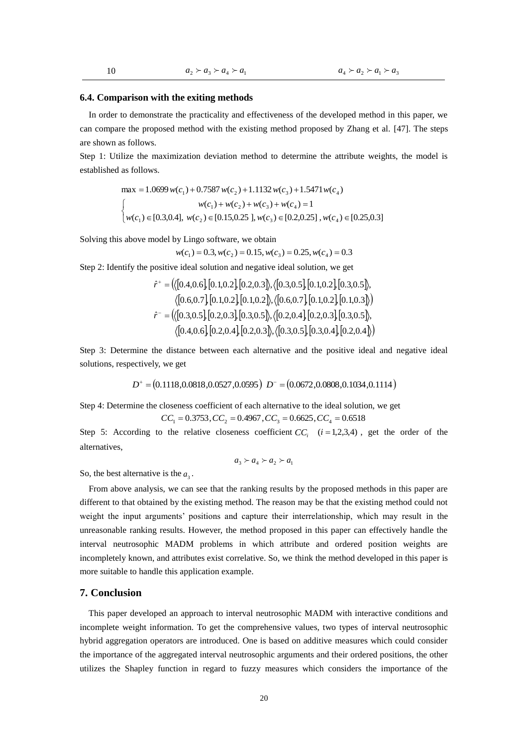#### **6.4. Comparison with the exiting methods**

 In order to demonstrate the practicality and effectiveness of the developed method in this paper, we can compare the proposed method with the existing method proposed by Zhang et al. [47]. The steps are shown as follows.

Step 1: Utilize the maximization deviation method to determine the attribute weights, the model is established as follows.

$$
\max = 1.0699 w(c_1) + 0.7587 w(c_2) + 1.1132 w(c_3) + 1.5471 w(c_4)
$$
  
\n
$$
\begin{cases}\nw(c_1) + w(c_2) + w(c_3) + w(c_4) = 1 \\
w(c_1) \in [0.3, 0.4], \ w(c_2) \in [0.15, 0.25], w(c_3) \in [0.2, 0.25], w(c_4) \in [0.25, 0.3]\n\end{cases}
$$

Solving this above model by Lingo software, we obtain

$$
w(c_1) = 0.3, w(c_2) = 0.15, w(c_3) = 0.25, w(c_4) = 0.3
$$

Step 2: Identify the positive ideal solution and negative ideal solution, we get

$$
w(c_1) = 0.3, w(c_2) = 0.15, w(c_3) = 0.25, w(c_4) = 0.3
$$
  
positive ideal solution and negative ideal solution, we get  

$$
\hat{r}^+ = (\langle [0.4, 0.6], [0.1, 0.2], [0.2, 0.3], \langle [0.3, 0.5], [0.1, 0.2], [0.3, 0.5], \langle [0.6, 0.7], [0.1, 0.2], [0.1, 0.2], [0.1, 0.2], [0.1, 0.3] \rangle)
$$

$$
\hat{r}^- = (\langle [0.3, 0.5], [0.2, 0.3], [0.3, 0.5], \langle [0.2, 0.4], [0.2, 0.3], [0.3, 0.4], [0.2, 0.4] \rangle)
$$

Step 3: Determine the distance between each alternative and the positive ideal and negative ideal solutions, respectively, we get<br>  $D^+ = (0.1118, 0.0818, 0.0527, 0.0595)$   $D^- = (0.0672, 0.0808, 0.1034, 0.1114)$ solutions, respectively, we get

$$
D^+ = (0.1118, 0.0818, 0.0527, 0.0595) \ D^- = (0.0672, 0.0808, 0.1034, 0.1114)
$$

Step 4: Determine the closeness coefficient of each alternative to the ideal solution, we get

$$
CC_1 = 0.3753, CC_2 = 0.4967, CC_3 = 0.6625, CC_4 = 0.6518
$$

Step 5: According to the relative closeness coefficient  $CC_i$   $(i=1,2,3,4)$ , get the order of the alternatives,

$$
a_3 \succ a_4 \succ a_2 \succ a_1
$$

So, the best alternative is the  $a_3$ .

 From above analysis, we can see that the ranking results by the proposed methods in this paper are different to that obtained by the existing method. The reason may be that the existing method could not weight the input arguments' positions and capture their interrelationship, which may result in the unreasonable ranking results. However, the method proposed in this paper can effectively handle the interval neutrosophic MADM problems in which attribute and ordered position weights are incompletely known, and attributes exist correlative. So, we think the method developed in this paper is more suitable to handle this application example.

### **7. Conclusion**

This paper developed an approach to interval neutrosophic MADM with interactive conditions and incomplete weight information. To get the comprehensive values, two types of interval neutrosophic hybrid aggregation operators are introduced. One is based on additive measures which could consider the importance of the aggregated interval neutrosophic arguments and their ordered positions, the other utilizes the Shapley function in regard to fuzzy measures which considers the importance of the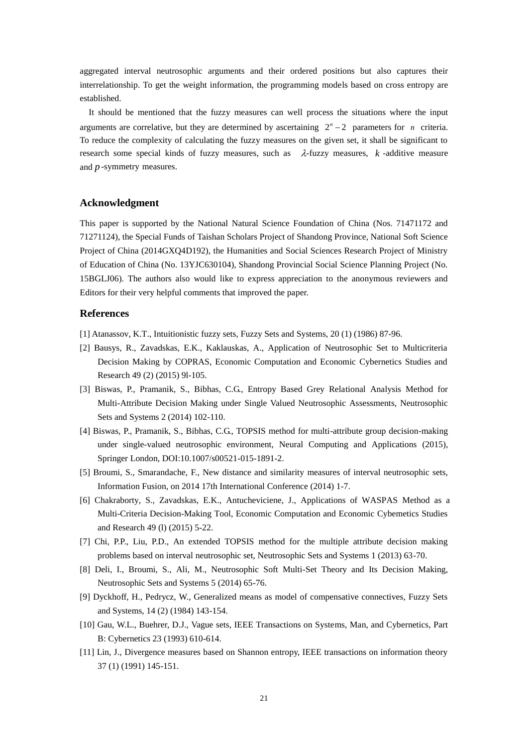aggregated interval neutrosophic arguments and their ordered positions but also captures their interrelationship. To get the weight information, the programming models based on cross entropy are established.

 It should be mentioned that the fuzzy measures can well process the situations where the input arguments are correlative, but they are determined by ascertaining  $2<sup>n</sup> - 2$  parameters for *n* criteria. To reduce the complexity of calculating the fuzzy measures on the given set, it shall be significant to research some special kinds of fuzzy measures, such as  $\lambda$ -fuzzy measures, *k* -additive measure and *p* -symmetry measures.

# **Acknowledgment**

This paper is supported by the National Natural Science Foundation of China (Nos. 71471172 and 71271124), the Special Funds of Taishan Scholars Project of Shandong Province, National Soft Science Project of China (2014GXQ4D192), the Humanities and Social Sciences Research Project of Ministry of Education of China (No. 13YJC630104), Shandong Provincial Social Science Planning Project (No. 15BGLJ06). The authors also would like to express appreciation to the anonymous reviewers and Editors for their very helpful comments that improved the paper.

### **References**

- [1] Atanassov, K.T., Intuitionistic fuzzy sets, Fuzzy Sets and Systems, 20 (1) (1986) 87-96.
- [2] Bausys, R., Zavadskas, E.K., Kaklauskas, A., Application of Neutrosophic Set to Multicriteria Decision Making by COPRAS, Economic Computation and Economic Cybernetics Studies and Research 49 (2) (2015) 9l-105.
- [3] Biswas, P., Pramanik, S., Bibhas, C.G., Entropy Based Grey Relational Analysis Method for Multi-Attribute Decision Making under Single Valued Neutrosophic Assessments, Neutrosophic Sets and Systems 2 (2014) 102-110.
- [4] Biswas, P., Pramanik, S., Bibhas, C.G., TOPSIS method for multi-attribute group decision-making under single-valued neutrosophic environment, [Neural Computing and Applications](http://link.springer.com/journal/521) (2015), Springer London, DOI:10.1007/s00521-015-1891-2.
- [5] [Broumi, S.,](http://ieeexplore.ieee.org/search/searchresult.jsp?searchWithin=p_Authors:.QT.Broumi,%20S..QT.&newsearch=true) [Smarandache, F.,](http://ieeexplore.ieee.org/search/searchresult.jsp?searchWithin=p_Authors:.QT.Smarandache,%20F..QT.&newsearch=true) New distance and similarity measures of interval neutrosophic sets, [Information Fusion, on 2014 17th International Conference \(](http://ieeexplore.ieee.org/xpl/mostRecentIssue.jsp?punumber=6900113)2014) 1-7.
- [6] Chakraborty, S., Zavadskas, E.K., Antucheviciene, J., Applications of WASPAS Method as a Multi-Criteria Decision-Making Tool, Economic Computation and Economic Cybemetics Studies and Research 49 (l) (2015) 5-22.
- [7] Chi, P.P., Liu, P.D., An extended TOPSIS method for the multiple attribute decision making problems based on interval neutrosophic set, Neutrosophic Sets and Systems 1 (2013) 63-70.
- [8] Deli, I., Broumi, S., Ali, M., Neutrosophic Soft Multi-Set Theory and Its Decision Making, Neutrosophic Sets and Systems 5 (2014) 65-76.
- [9] Dyckhoff, H., Pedrycz, W., Generalized means as model of compensative connectives, Fuzzy Sets and Systems, 14 (2) (1984) 143-154.
- [10] Gau, W.L., Buehrer, D.J., Vague sets, IEEE Transactions on Systems, Man, and Cybernetics, Part B: Cybernetics 23 (1993) 610-614.
- [11] Lin, J., Divergence measures based on Shannon entropy, IEEE transactions on information theory 37 (1) (1991) 145-151.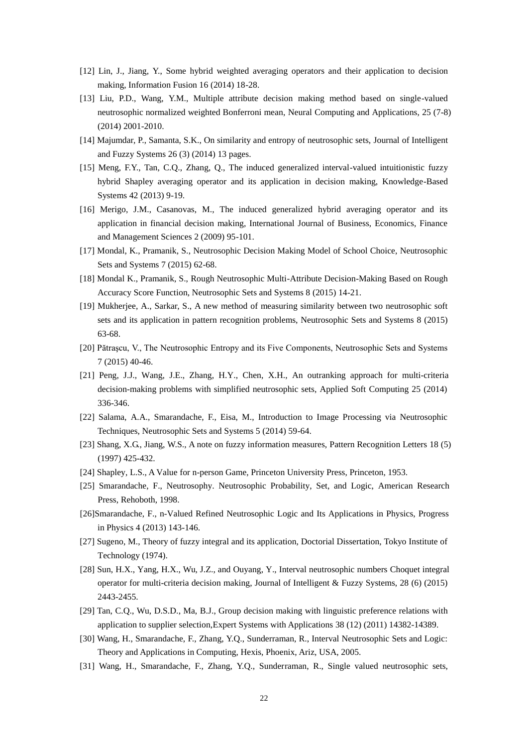- [12] Lin, J., Jiang, Y., Some hybrid weighted averaging operators and their application to decision making, Information Fusion 16 (2014) 18-28.
- [13] Liu, P.D., Wang, Y.M., Multiple attribute decision making method based on single-valued neutrosophic normalized weighted Bonferroni mean, [Neural Computing and Applications,](http://link.springer.com/journal/521) 25 (7-8) (2014) 2001-2010.
- [14] Majumdar, P., Samanta, S.K., On similarity and entropy of neutrosophic sets, [Journal of Intelligent](http://content.iospress.com/journals/journal-of-intelligent-and-fuzzy-systems)  [and Fuzzy Systems](http://content.iospress.com/journals/journal-of-intelligent-and-fuzzy-systems) 26 (3) (2014) 13 pages.
- [15] Meng, F.Y., Tan, C.Q., Zhang, Q., The induced generalized interval-valued intuitionistic fuzzy hybrid Shapley averaging operator and its application in decision making, Knowledge-Based Systems 42 (2013) 9-19.
- [16] Merigo, J.M., Casanovas, M., The induced generalized hybrid averaging operator and its application in financial decision making, International Journal of Business, Economics, Finance and Management Sciences 2 (2009) 95-101.
- [17] Mondal, K., Pramanik, S., Neutrosophic Decision Making Model of School Choice, Neutrosophic Sets and Systems 7 (2015) 62-68.
- [18] Mondal K., Pramanik, S., Rough Neutrosophic Multi-Attribute Decision-Making Based on Rough Accuracy Score Function, Neutrosophic Sets and Systems 8 (2015) 14-21.
- [19] Mukherjee, A., Sarkar, S., A new method of measuring similarity between two neutrosophic soft sets and its application in pattern recognition problems, Neutrosophic Sets and Systems 8 (2015) 63-68.
- [20] Pătraşcu, V., The Neutrosophic Entropy and its Five Components, Neutrosophic Sets and Systems 7 (2015) 40-46.
- [21] Peng, J.J., Wang, J.E., Zhang, H.Y., Chen, X.H., An outranking approach for multi-criteria decision-making problems with simplified neutrosophic sets, Applied Soft Computing 25 (2014) 336-346.
- [22] Salama, A.A., Smarandache, F., Eisa, M., Introduction to Image Processing via Neutrosophic Techniques, Neutrosophic Sets and Systems 5 (2014) 59-64.
- [23] Shang, X.G., Jiang, W.S., A note on fuzzy information measures, [Pattern Recognition Letters](http://www.sciencedirect.com/science/journal/01678655) 18 (5) (1997) 425-432.
- [24] Shapley, L.S., A Value for n-person Game, Princeton University Press, Princeton, 1953.
- [25] Smarandache, F., Neutrosophy. Neutrosophic Probability, Set, and Logic, American Research Press, Rehoboth, 1998.
- [26]Smarandache, F., n-Valued Refined Neutrosophic Logic and Its Applications in Physics, Progress in Physics 4 (2013) 143-146.
- [27] Sugeno, M., Theory of fuzzy integral and its application, Doctorial Dissertation, Tokyo Institute of Technology (1974).
- [28] Sun, H.X., Yang, H.X., Wu, J.Z., and Ouyang, Y., Interval neutrosophic numbers Choquet integral operator for multi-criteria decision making, Journal of Intelligent & Fuzzy Systems, 28 (6) (2015) 2443-2455.
- [29] Tan, C.Q., [Wu,](http://www.sciencedirect.com/science/article/pii/S0957417411005525) D.S.D., [Ma,](http://www.sciencedirect.com/science/article/pii/S0957417411005525) B.J., Group decision making with linguistic preference relations with application to supplier selection[,Expert Systems with Applications](http://www.sciencedirect.com/science/journal/09574174) [38 \(12\)](http://www.sciencedirect.com/science/journal/09574174/38/12) (2011) 14382-14389.
- [30] Wang, H., Smarandache, F., Zhang, Y.Q., Sunderraman, R., Interval Neutrosophic Sets and Logic: Theory and Applications in Computing, Hexis, Phoenix, Ariz, USA, 2005.
- [31] Wang, H., Smarandache, F., Zhang, Y.Q., Sunderraman, R., Single valued neutrosophic sets,